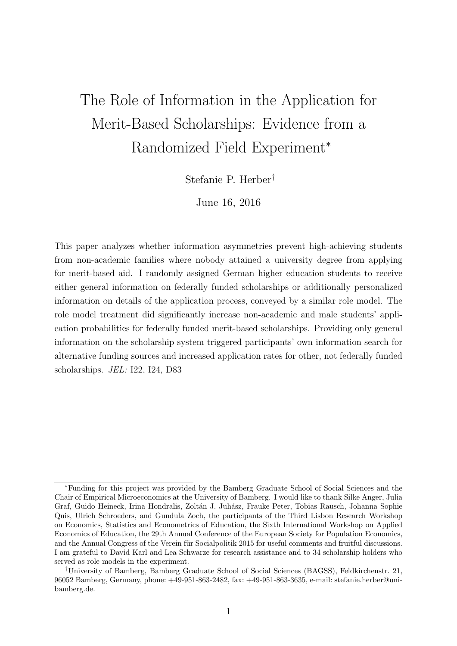# The Role of Information in the Application for Merit-Based Scholarships: Evidence from a Randomized Field Experiment<sup>∗</sup>

Stefanie P. Herber†

June 16, 2016

This paper analyzes whether information asymmetries prevent high-achieving students from non-academic families where nobody attained a university degree from applying for merit-based aid. I randomly assigned German higher education students to receive either general information on federally funded scholarships or additionally personalized information on details of the application process, conveyed by a similar role model. The role model treatment did significantly increase non-academic and male students' application probabilities for federally funded merit-based scholarships. Providing only general information on the scholarship system triggered participants' own information search for alternative funding sources and increased application rates for other, not federally funded scholarships. JEL: I22, I24, D83

<sup>∗</sup>Funding for this project was provided by the Bamberg Graduate School of Social Sciences and the Chair of Empirical Microeconomics at the University of Bamberg. I would like to thank Silke Anger, Julia Graf, Guido Heineck, Irina Hondralis, Zoltán J. Juhász, Frauke Peter, Tobias Rausch, Johanna Sophie Quis, Ulrich Schroeders, and Gundula Zoch, the participants of the Third Lisbon Research Workshop on Economics, Statistics and Econometrics of Education, the Sixth International Workshop on Applied Economics of Education, the 29th Annual Conference of the European Society for Population Economics, and the Annual Congress of the Verein für Socialpolitik 2015 for useful comments and fruitful discussions. I am grateful to David Karl and Lea Schwarze for research assistance and to 34 scholarship holders who served as role models in the experiment.

<sup>†</sup>University of Bamberg, Bamberg Graduate School of Social Sciences (BAGSS), Feldkirchenstr. 21, 96052 Bamberg, Germany, phone: +49-951-863-2482, fax: +49-951-863-3635, e-mail: stefanie.herber@unibamberg.de.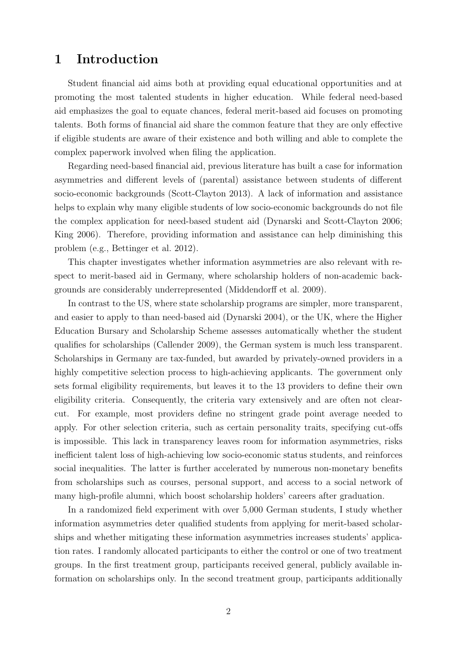## 1 Introduction

Student financial aid aims both at providing equal educational opportunities and at promoting the most talented students in higher education. While federal need-based aid emphasizes the goal to equate chances, federal merit-based aid focuses on promoting talents. Both forms of financial aid share the common feature that they are only effective if eligible students are aware of their existence and both willing and able to complete the complex paperwork involved when filing the application.

Regarding need-based financial aid, previous literature has built a case for information asymmetries and different levels of (parental) assistance between students of different socio-economic backgrounds (Scott-Clayton 2013). A lack of information and assistance helps to explain why many eligible students of low socio-economic backgrounds do not file the complex application for need-based student aid (Dynarski and Scott-Clayton 2006; King 2006). Therefore, providing information and assistance can help diminishing this problem (e.g., Bettinger et al. 2012).

This chapter investigates whether information asymmetries are also relevant with respect to merit-based aid in Germany, where scholarship holders of non-academic backgrounds are considerably underrepresented (Middendorff et al. 2009).

In contrast to the US, where state scholarship programs are simpler, more transparent, and easier to apply to than need-based aid (Dynarski 2004), or the UK, where the Higher Education Bursary and Scholarship Scheme assesses automatically whether the student qualifies for scholarships (Callender 2009), the German system is much less transparent. Scholarships in Germany are tax-funded, but awarded by privately-owned providers in a highly competitive selection process to high-achieving applicants. The government only sets formal eligibility requirements, but leaves it to the 13 providers to define their own eligibility criteria. Consequently, the criteria vary extensively and are often not clearcut. For example, most providers define no stringent grade point average needed to apply. For other selection criteria, such as certain personality traits, specifying cut-offs is impossible. This lack in transparency leaves room for information asymmetries, risks inefficient talent loss of high-achieving low socio-economic status students, and reinforces social inequalities. The latter is further accelerated by numerous non-monetary benefits from scholarships such as courses, personal support, and access to a social network of many high-profile alumni, which boost scholarship holders' careers after graduation.

In a randomized field experiment with over 5,000 German students, I study whether information asymmetries deter qualified students from applying for merit-based scholarships and whether mitigating these information asymmetries increases students' application rates. I randomly allocated participants to either the control or one of two treatment groups. In the first treatment group, participants received general, publicly available information on scholarships only. In the second treatment group, participants additionally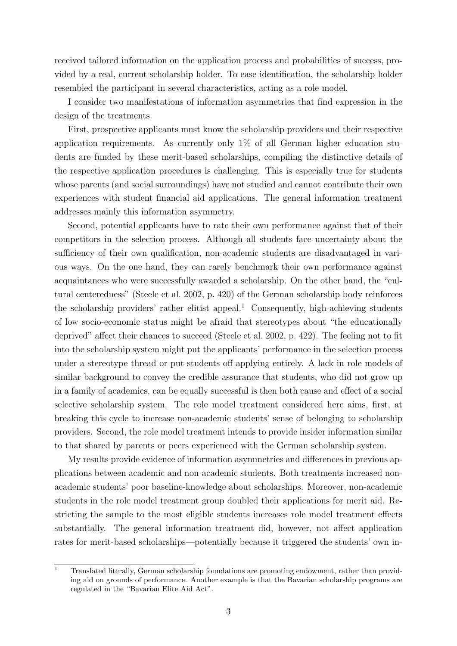received tailored information on the application process and probabilities of success, provided by a real, current scholarship holder. To ease identification, the scholarship holder resembled the participant in several characteristics, acting as a role model.

I consider two manifestations of information asymmetries that find expression in the design of the treatments.

First, prospective applicants must know the scholarship providers and their respective application requirements. As currently only 1% of all German higher education students are funded by these merit-based scholarships, compiling the distinctive details of the respective application procedures is challenging. This is especially true for students whose parents (and social surroundings) have not studied and cannot contribute their own experiences with student financial aid applications. The general information treatment addresses mainly this information asymmetry.

Second, potential applicants have to rate their own performance against that of their competitors in the selection process. Although all students face uncertainty about the sufficiency of their own qualification, non-academic students are disadvantaged in various ways. On the one hand, they can rarely benchmark their own performance against acquaintances who were successfully awarded a scholarship. On the other hand, the "cultural centeredness" (Steele et al. 2002, p. 420) of the German scholarship body reinforces the scholarship providers' rather elitist appeal.<sup>1</sup> Consequently, high-achieving students of low socio-economic status might be afraid that stereotypes about "the educationally deprived" affect their chances to succeed (Steele et al. 2002, p. 422). The feeling not to fit into the scholarship system might put the applicants' performance in the selection process under a stereotype thread or put students off applying entirely. A lack in role models of similar background to convey the credible assurance that students, who did not grow up in a family of academics, can be equally successful is then both cause and effect of a social selective scholarship system. The role model treatment considered here aims, first, at breaking this cycle to increase non-academic students' sense of belonging to scholarship providers. Second, the role model treatment intends to provide insider information similar to that shared by parents or peers experienced with the German scholarship system.

My results provide evidence of information asymmetries and differences in previous applications between academic and non-academic students. Both treatments increased nonacademic students' poor baseline-knowledge about scholarships. Moreover, non-academic students in the role model treatment group doubled their applications for merit aid. Restricting the sample to the most eligible students increases role model treatment effects substantially. The general information treatment did, however, not affect application rates for merit-based scholarships—potentially because it triggered the students' own in-

<sup>&</sup>lt;sup>1</sup> Translated literally, German scholarship foundations are promoting endowment, rather than providing aid on grounds of performance. Another example is that the Bavarian scholarship programs are regulated in the "Bavarian Elite Aid Act".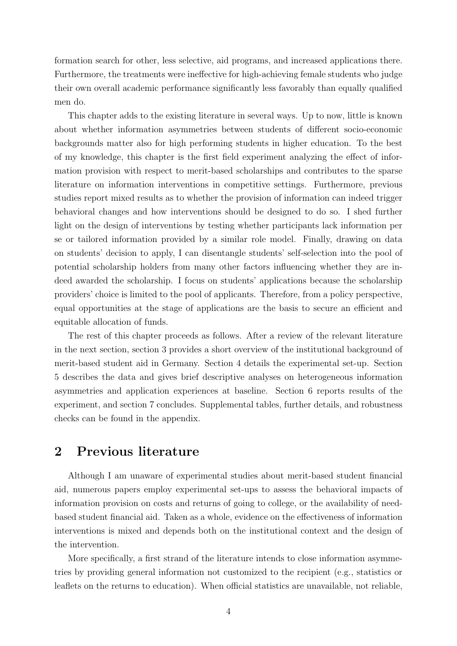formation search for other, less selective, aid programs, and increased applications there. Furthermore, the treatments were ineffective for high-achieving female students who judge their own overall academic performance significantly less favorably than equally qualified men do.

This chapter adds to the existing literature in several ways. Up to now, little is known about whether information asymmetries between students of different socio-economic backgrounds matter also for high performing students in higher education. To the best of my knowledge, this chapter is the first field experiment analyzing the effect of information provision with respect to merit-based scholarships and contributes to the sparse literature on information interventions in competitive settings. Furthermore, previous studies report mixed results as to whether the provision of information can indeed trigger behavioral changes and how interventions should be designed to do so. I shed further light on the design of interventions by testing whether participants lack information per se or tailored information provided by a similar role model. Finally, drawing on data on students' decision to apply, I can disentangle students' self-selection into the pool of potential scholarship holders from many other factors influencing whether they are indeed awarded the scholarship. I focus on students' applications because the scholarship providers' choice is limited to the pool of applicants. Therefore, from a policy perspective, equal opportunities at the stage of applications are the basis to secure an efficient and equitable allocation of funds.

The rest of this chapter proceeds as follows. After a review of the relevant literature in the next section, section 3 provides a short overview of the institutional background of merit-based student aid in Germany. Section 4 details the experimental set-up. Section 5 describes the data and gives brief descriptive analyses on heterogeneous information asymmetries and application experiences at baseline. Section 6 reports results of the experiment, and section 7 concludes. Supplemental tables, further details, and robustness checks can be found in the appendix.

# 2 Previous literature

Although I am unaware of experimental studies about merit-based student financial aid, numerous papers employ experimental set-ups to assess the behavioral impacts of information provision on costs and returns of going to college, or the availability of needbased student financial aid. Taken as a whole, evidence on the effectiveness of information interventions is mixed and depends both on the institutional context and the design of the intervention.

More specifically, a first strand of the literature intends to close information asymmetries by providing general information not customized to the recipient (e.g., statistics or leaflets on the returns to education). When official statistics are unavailable, not reliable,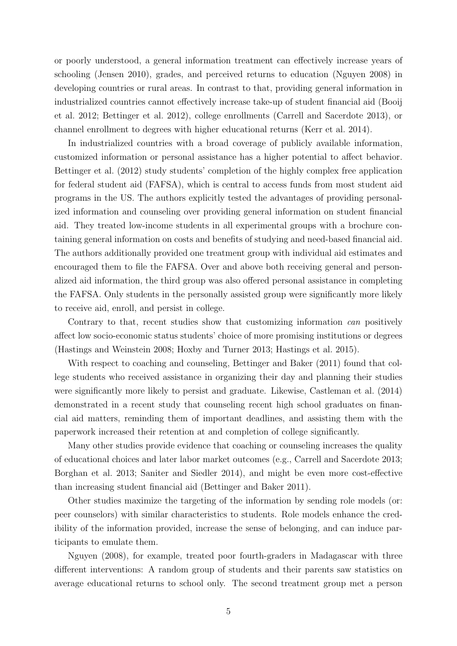or poorly understood, a general information treatment can effectively increase years of schooling (Jensen 2010), grades, and perceived returns to education (Nguyen 2008) in developing countries or rural areas. In contrast to that, providing general information in industrialized countries cannot effectively increase take-up of student financial aid (Booij et al. 2012; Bettinger et al. 2012), college enrollments (Carrell and Sacerdote 2013), or channel enrollment to degrees with higher educational returns (Kerr et al. 2014).

In industrialized countries with a broad coverage of publicly available information, customized information or personal assistance has a higher potential to affect behavior. Bettinger et al. (2012) study students' completion of the highly complex free application for federal student aid (FAFSA), which is central to access funds from most student aid programs in the US. The authors explicitly tested the advantages of providing personalized information and counseling over providing general information on student financial aid. They treated low-income students in all experimental groups with a brochure containing general information on costs and benefits of studying and need-based financial aid. The authors additionally provided one treatment group with individual aid estimates and encouraged them to file the FAFSA. Over and above both receiving general and personalized aid information, the third group was also offered personal assistance in completing the FAFSA. Only students in the personally assisted group were significantly more likely to receive aid, enroll, and persist in college.

Contrary to that, recent studies show that customizing information *can* positively affect low socio-economic status students' choice of more promising institutions or degrees (Hastings and Weinstein 2008; Hoxby and Turner 2013; Hastings et al. 2015).

With respect to coaching and counseling, Bettinger and Baker (2011) found that college students who received assistance in organizing their day and planning their studies were significantly more likely to persist and graduate. Likewise, Castleman et al. (2014) demonstrated in a recent study that counseling recent high school graduates on financial aid matters, reminding them of important deadlines, and assisting them with the paperwork increased their retention at and completion of college significantly.

Many other studies provide evidence that coaching or counseling increases the quality of educational choices and later labor market outcomes (e.g., Carrell and Sacerdote 2013; Borghan et al. 2013; Saniter and Siedler 2014), and might be even more cost-effective than increasing student financial aid (Bettinger and Baker 2011).

Other studies maximize the targeting of the information by sending role models (or: peer counselors) with similar characteristics to students. Role models enhance the credibility of the information provided, increase the sense of belonging, and can induce participants to emulate them.

Nguyen (2008), for example, treated poor fourth-graders in Madagascar with three different interventions: A random group of students and their parents saw statistics on average educational returns to school only. The second treatment group met a person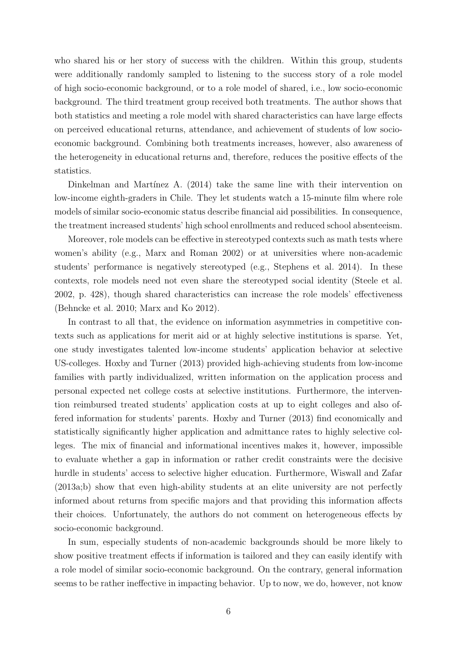who shared his or her story of success with the children. Within this group, students were additionally randomly sampled to listening to the success story of a role model of high socio-economic background, or to a role model of shared, i.e., low socio-economic background. The third treatment group received both treatments. The author shows that both statistics and meeting a role model with shared characteristics can have large effects on perceived educational returns, attendance, and achievement of students of low socioeconomic background. Combining both treatments increases, however, also awareness of the heterogeneity in educational returns and, therefore, reduces the positive effects of the statistics.

Dinkelman and Martínez A.  $(2014)$  take the same line with their intervention on low-income eighth-graders in Chile. They let students watch a 15-minute film where role models of similar socio-economic status describe financial aid possibilities. In consequence, the treatment increased students' high school enrollments and reduced school absenteeism.

Moreover, role models can be effective in stereotyped contexts such as math tests where women's ability (e.g., Marx and Roman 2002) or at universities where non-academic students' performance is negatively stereotyped (e.g., Stephens et al. 2014). In these contexts, role models need not even share the stereotyped social identity (Steele et al. 2002, p. 428), though shared characteristics can increase the role models' effectiveness (Behncke et al. 2010; Marx and Ko 2012).

In contrast to all that, the evidence on information asymmetries in competitive contexts such as applications for merit aid or at highly selective institutions is sparse. Yet, one study investigates talented low-income students' application behavior at selective US-colleges. Hoxby and Turner (2013) provided high-achieving students from low-income families with partly individualized, written information on the application process and personal expected net college costs at selective institutions. Furthermore, the intervention reimbursed treated students' application costs at up to eight colleges and also offered information for students' parents. Hoxby and Turner (2013) find economically and statistically significantly higher application and admittance rates to highly selective colleges. The mix of financial and informational incentives makes it, however, impossible to evaluate whether a gap in information or rather credit constraints were the decisive hurdle in students' access to selective higher education. Furthermore, Wiswall and Zafar (2013a;b) show that even high-ability students at an elite university are not perfectly informed about returns from specific majors and that providing this information affects their choices. Unfortunately, the authors do not comment on heterogeneous effects by socio-economic background.

In sum, especially students of non-academic backgrounds should be more likely to show positive treatment effects if information is tailored and they can easily identify with a role model of similar socio-economic background. On the contrary, general information seems to be rather ineffective in impacting behavior. Up to now, we do, however, not know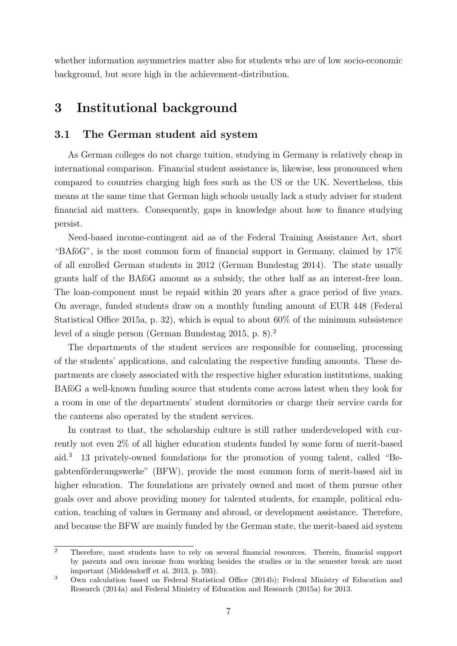whether information asymmetries matter also for students who are of low socio-economic background, but score high in the achievement-distribution.

# 3 Institutional background

## 3.1 The German student aid system

As German colleges do not charge tuition, studying in Germany is relatively cheap in international comparison. Financial student assistance is, likewise, less pronounced when compared to countries charging high fees such as the US or the UK. Nevertheless, this means at the same time that German high schools usually lack a study adviser for student financial aid matters. Consequently, gaps in knowledge about how to finance studying persist.

Need-based income-contingent aid as of the Federal Training Assistance Act, short "BAföG", is the most common form of financial support in Germany, claimed by  $17\%$ of all enrolled German students in 2012 (German Bundestag 2014). The state usually grants half of the BAföG amount as a subsidy, the other half as an interest-free loan. The loan-component must be repaid within 20 years after a grace period of five years. On average, funded students draw on a monthly funding amount of EUR 448 (Federal Statistical Office 2015a, p. 32), which is equal to about 60% of the minimum subsistence level of a single person (German Bundestag 2015, p. 8).<sup>2</sup>

The departments of the student services are responsible for counseling, processing of the students' applications, and calculating the respective funding amounts. These departments are closely associated with the respective higher education institutions, making BAföG a well-known funding source that students come across latest when they look for a room in one of the departments' student dormitories or charge their service cards for the canteens also operated by the student services.

In contrast to that, the scholarship culture is still rather underdeveloped with currently not even 2% of all higher education students funded by some form of merit-based aid.<sup>3</sup> 13 privately-owned foundations for the promotion of young talent, called "Begabtenförderungswerke" (BFW), provide the most common form of merit-based aid in higher education. The foundations are privately owned and most of them pursue other goals over and above providing money for talented students, for example, political education, teaching of values in Germany and abroad, or development assistance. Therefore, and because the BFW are mainly funded by the German state, the merit-based aid system

 $\overline{a}$  Therefore, most students have to rely on several financial resources. Therein, financial support by parents and own income from working besides the studies or in the semester break are most important (Middendorff et al. 2013, p. 593).

<sup>3</sup> Own calculation based on Federal Statistical Office (2014b); Federal Ministry of Education and Research (2014a) and Federal Ministry of Education and Research (2015a) for 2013.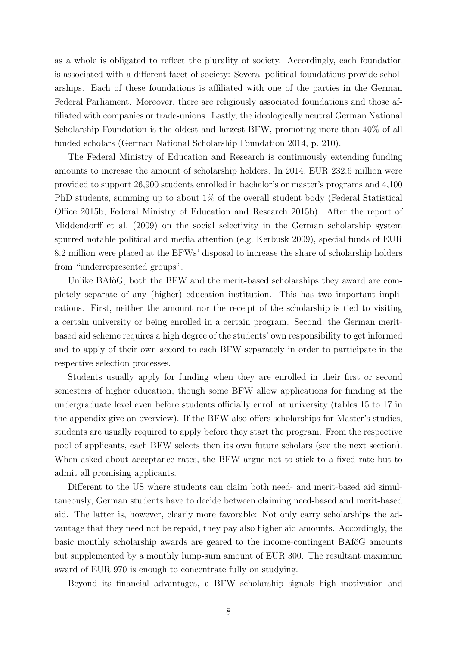as a whole is obligated to reflect the plurality of society. Accordingly, each foundation is associated with a different facet of society: Several political foundations provide scholarships. Each of these foundations is affiliated with one of the parties in the German Federal Parliament. Moreover, there are religiously associated foundations and those affiliated with companies or trade-unions. Lastly, the ideologically neutral German National Scholarship Foundation is the oldest and largest BFW, promoting more than 40% of all funded scholars (German National Scholarship Foundation 2014, p. 210).

The Federal Ministry of Education and Research is continuously extending funding amounts to increase the amount of scholarship holders. In 2014, EUR 232.6 million were provided to support 26,900 students enrolled in bachelor's or master's programs and 4,100 PhD students, summing up to about 1% of the overall student body (Federal Statistical Office 2015b; Federal Ministry of Education and Research 2015b). After the report of Middendorff et al. (2009) on the social selectivity in the German scholarship system spurred notable political and media attention (e.g. Kerbusk 2009), special funds of EUR 8.2 million were placed at the BFWs' disposal to increase the share of scholarship holders from "underrepresented groups".

Unlike BAföG, both the BFW and the merit-based scholarships they award are completely separate of any (higher) education institution. This has two important implications. First, neither the amount nor the receipt of the scholarship is tied to visiting a certain university or being enrolled in a certain program. Second, the German meritbased aid scheme requires a high degree of the students' own responsibility to get informed and to apply of their own accord to each BFW separately in order to participate in the respective selection processes.

Students usually apply for funding when they are enrolled in their first or second semesters of higher education, though some BFW allow applications for funding at the undergraduate level even before students officially enroll at university (tables 15 to 17 in the appendix give an overview). If the BFW also offers scholarships for Master's studies, students are usually required to apply before they start the program. From the respective pool of applicants, each BFW selects then its own future scholars (see the next section). When asked about acceptance rates, the BFW argue not to stick to a fixed rate but to admit all promising applicants.

Different to the US where students can claim both need- and merit-based aid simultaneously, German students have to decide between claiming need-based and merit-based aid. The latter is, however, clearly more favorable: Not only carry scholarships the advantage that they need not be repaid, they pay also higher aid amounts. Accordingly, the basic monthly scholarship awards are geared to the income-contingent BAfoG amounts but supplemented by a monthly lump-sum amount of EUR 300. The resultant maximum award of EUR 970 is enough to concentrate fully on studying.

Beyond its financial advantages, a BFW scholarship signals high motivation and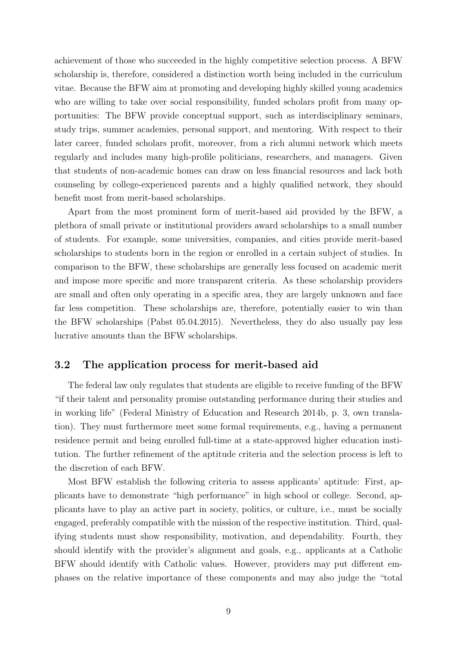achievement of those who succeeded in the highly competitive selection process. A BFW scholarship is, therefore, considered a distinction worth being included in the curriculum vitae. Because the BFW aim at promoting and developing highly skilled young academics who are willing to take over social responsibility, funded scholars profit from many opportunities: The BFW provide conceptual support, such as interdisciplinary seminars, study trips, summer academies, personal support, and mentoring. With respect to their later career, funded scholars profit, moreover, from a rich alumni network which meets regularly and includes many high-profile politicians, researchers, and managers. Given that students of non-academic homes can draw on less financial resources and lack both counseling by college-experienced parents and a highly qualified network, they should benefit most from merit-based scholarships.

Apart from the most prominent form of merit-based aid provided by the BFW, a plethora of small private or institutional providers award scholarships to a small number of students. For example, some universities, companies, and cities provide merit-based scholarships to students born in the region or enrolled in a certain subject of studies. In comparison to the BFW, these scholarships are generally less focused on academic merit and impose more specific and more transparent criteria. As these scholarship providers are small and often only operating in a specific area, they are largely unknown and face far less competition. These scholarships are, therefore, potentially easier to win than the BFW scholarships (Pabst 05.04.2015). Nevertheless, they do also usually pay less lucrative amounts than the BFW scholarships.

## 3.2 The application process for merit-based aid

The federal law only regulates that students are eligible to receive funding of the BFW "if their talent and personality promise outstanding performance during their studies and in working life" (Federal Ministry of Education and Research 2014b, p. 3, own translation). They must furthermore meet some formal requirements, e.g., having a permanent residence permit and being enrolled full-time at a state-approved higher education institution. The further refinement of the aptitude criteria and the selection process is left to the discretion of each BFW.

Most BFW establish the following criteria to assess applicants' aptitude: First, applicants have to demonstrate "high performance" in high school or college. Second, applicants have to play an active part in society, politics, or culture, i.e., must be socially engaged, preferably compatible with the mission of the respective institution. Third, qualifying students must show responsibility, motivation, and dependability. Fourth, they should identify with the provider's alignment and goals, e.g., applicants at a Catholic BFW should identify with Catholic values. However, providers may put different emphases on the relative importance of these components and may also judge the "total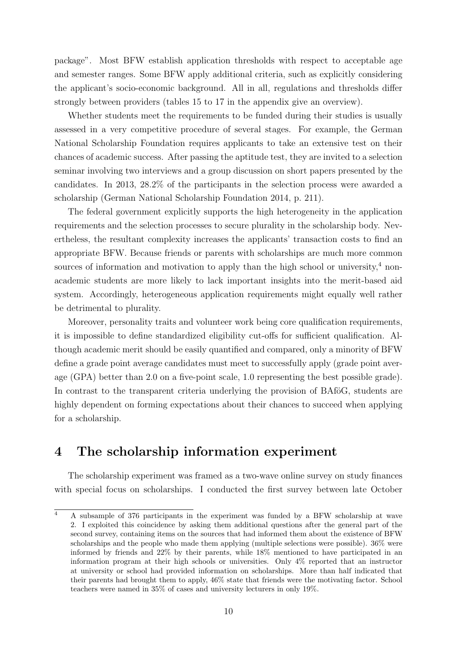package". Most BFW establish application thresholds with respect to acceptable age and semester ranges. Some BFW apply additional criteria, such as explicitly considering the applicant's socio-economic background. All in all, regulations and thresholds differ strongly between providers (tables 15 to 17 in the appendix give an overview).

Whether students meet the requirements to be funded during their studies is usually assessed in a very competitive procedure of several stages. For example, the German National Scholarship Foundation requires applicants to take an extensive test on their chances of academic success. After passing the aptitude test, they are invited to a selection seminar involving two interviews and a group discussion on short papers presented by the candidates. In 2013, 28.2% of the participants in the selection process were awarded a scholarship (German National Scholarship Foundation 2014, p. 211).

The federal government explicitly supports the high heterogeneity in the application requirements and the selection processes to secure plurality in the scholarship body. Nevertheless, the resultant complexity increases the applicants' transaction costs to find an appropriate BFW. Because friends or parents with scholarships are much more common sources of information and motivation to apply than the high school or university,<sup>4</sup> nonacademic students are more likely to lack important insights into the merit-based aid system. Accordingly, heterogeneous application requirements might equally well rather be detrimental to plurality.

Moreover, personality traits and volunteer work being core qualification requirements, it is impossible to define standardized eligibility cut-offs for sufficient qualification. Although academic merit should be easily quantified and compared, only a minority of BFW define a grade point average candidates must meet to successfully apply (grade point average (GPA) better than 2.0 on a five-point scale, 1.0 representing the best possible grade). In contrast to the transparent criteria underlying the provision of BAfoG, students are highly dependent on forming expectations about their chances to succeed when applying for a scholarship.

# 4 The scholarship information experiment

The scholarship experiment was framed as a two-wave online survey on study finances with special focus on scholarships. I conducted the first survey between late October

<sup>&</sup>lt;sup>4</sup> A subsample of 376 participants in the experiment was funded by a BFW scholarship at wave 2. I exploited this coincidence by asking them additional questions after the general part of the second survey, containing items on the sources that had informed them about the existence of BFW scholarships and the people who made them applying (multiple selections were possible). 36% were informed by friends and 22% by their parents, while 18% mentioned to have participated in an information program at their high schools or universities. Only 4% reported that an instructor at university or school had provided information on scholarships. More than half indicated that their parents had brought them to apply, 46% state that friends were the motivating factor. School teachers were named in 35% of cases and university lecturers in only 19%.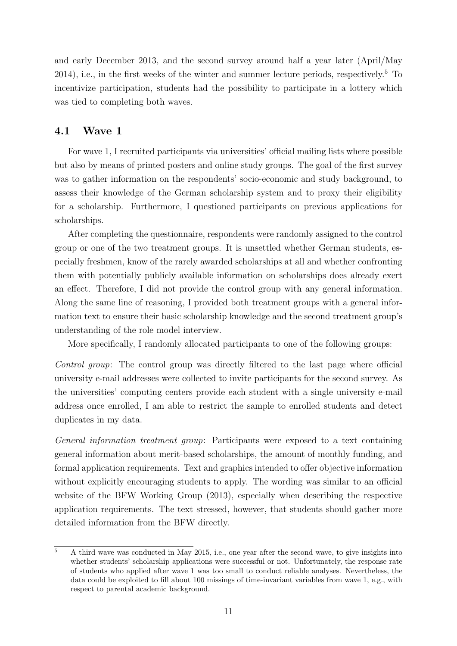and early December 2013, and the second survey around half a year later (April/May 2014), i.e., in the first weeks of the winter and summer lecture periods, respectively.<sup>5</sup> To incentivize participation, students had the possibility to participate in a lottery which was tied to completing both waves.

#### 4.1 Wave 1

For wave 1, I recruited participants via universities' official mailing lists where possible but also by means of printed posters and online study groups. The goal of the first survey was to gather information on the respondents' socio-economic and study background, to assess their knowledge of the German scholarship system and to proxy their eligibility for a scholarship. Furthermore, I questioned participants on previous applications for scholarships.

After completing the questionnaire, respondents were randomly assigned to the control group or one of the two treatment groups. It is unsettled whether German students, especially freshmen, know of the rarely awarded scholarships at all and whether confronting them with potentially publicly available information on scholarships does already exert an effect. Therefore, I did not provide the control group with any general information. Along the same line of reasoning, I provided both treatment groups with a general information text to ensure their basic scholarship knowledge and the second treatment group's understanding of the role model interview.

More specifically, I randomly allocated participants to one of the following groups:

Control group: The control group was directly filtered to the last page where official university e-mail addresses were collected to invite participants for the second survey. As the universities' computing centers provide each student with a single university e-mail address once enrolled, I am able to restrict the sample to enrolled students and detect duplicates in my data.

General information treatment group: Participants were exposed to a text containing general information about merit-based scholarships, the amount of monthly funding, and formal application requirements. Text and graphics intended to offer objective information without explicitly encouraging students to apply. The wording was similar to an official website of the BFW Working Group (2013), especially when describing the respective application requirements. The text stressed, however, that students should gather more detailed information from the BFW directly.

 $\overline{5}$  A third wave was conducted in May 2015, i.e., one year after the second wave, to give insights into whether students' scholarship applications were successful or not. Unfortunately, the response rate of students who applied after wave 1 was too small to conduct reliable analyses. Nevertheless, the data could be exploited to fill about 100 missings of time-invariant variables from wave 1, e.g., with respect to parental academic background.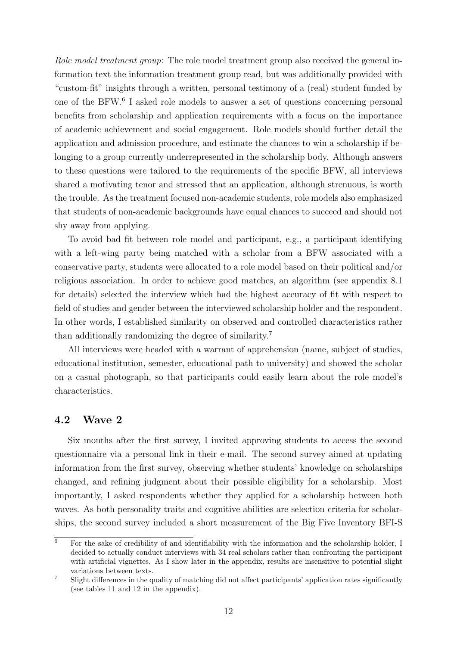Role model treatment group: The role model treatment group also received the general information text the information treatment group read, but was additionally provided with "custom-fit" insights through a written, personal testimony of a (real) student funded by one of the BFW.<sup>6</sup> I asked role models to answer a set of questions concerning personal benefits from scholarship and application requirements with a focus on the importance of academic achievement and social engagement. Role models should further detail the application and admission procedure, and estimate the chances to win a scholarship if belonging to a group currently underrepresented in the scholarship body. Although answers to these questions were tailored to the requirements of the specific BFW, all interviews shared a motivating tenor and stressed that an application, although strenuous, is worth the trouble. As the treatment focused non-academic students, role models also emphasized that students of non-academic backgrounds have equal chances to succeed and should not shy away from applying.

To avoid bad fit between role model and participant, e.g., a participant identifying with a left-wing party being matched with a scholar from a BFW associated with a conservative party, students were allocated to a role model based on their political and/or religious association. In order to achieve good matches, an algorithm (see appendix 8.1 for details) selected the interview which had the highest accuracy of fit with respect to field of studies and gender between the interviewed scholarship holder and the respondent. In other words, I established similarity on observed and controlled characteristics rather than additionally randomizing the degree of similarity.<sup>7</sup>

All interviews were headed with a warrant of apprehension (name, subject of studies, educational institution, semester, educational path to university) and showed the scholar on a casual photograph, so that participants could easily learn about the role model's characteristics.

## 4.2 Wave 2

Six months after the first survey, I invited approving students to access the second questionnaire via a personal link in their e-mail. The second survey aimed at updating information from the first survey, observing whether students' knowledge on scholarships changed, and refining judgment about their possible eligibility for a scholarship. Most importantly, I asked respondents whether they applied for a scholarship between both waves. As both personality traits and cognitive abilities are selection criteria for scholarships, the second survey included a short measurement of the Big Five Inventory BFI-S

 $\overline{6}$  For the sake of credibility of and identifiability with the information and the scholarship holder, I decided to actually conduct interviews with 34 real scholars rather than confronting the participant with artificial vignettes. As I show later in the appendix, results are insensitive to potential slight variations between texts.

<sup>7</sup> Slight differences in the quality of matching did not affect participants' application rates significantly (see tables 11 and 12 in the appendix).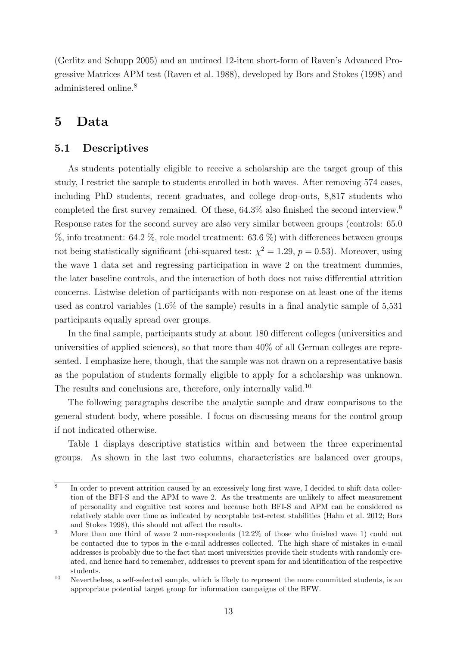(Gerlitz and Schupp 2005) and an untimed 12-item short-form of Raven's Advanced Progressive Matrices APM test (Raven et al. 1988), developed by Bors and Stokes (1998) and administered online.<sup>8</sup>

## 5 Data

## 5.1 Descriptives

As students potentially eligible to receive a scholarship are the target group of this study, I restrict the sample to students enrolled in both waves. After removing 574 cases, including PhD students, recent graduates, and college drop-outs, 8,817 students who completed the first survey remained. Of these, 64.3% also finished the second interview.<sup>9</sup> Response rates for the second survey are also very similar between groups (controls: 65.0  $\%$ , info treatment: 64.2 %, role model treatment: 63.6 %) with differences between groups not being statistically significant (chi-squared test:  $\chi^2 = 1.29$ ,  $p = 0.53$ ). Moreover, using the wave 1 data set and regressing participation in wave 2 on the treatment dummies, the later baseline controls, and the interaction of both does not raise differential attrition concerns. Listwise deletion of participants with non-response on at least one of the items used as control variables (1.6% of the sample) results in a final analytic sample of 5,531 participants equally spread over groups.

In the final sample, participants study at about 180 different colleges (universities and universities of applied sciences), so that more than 40% of all German colleges are represented. I emphasize here, though, that the sample was not drawn on a representative basis as the population of students formally eligible to apply for a scholarship was unknown. The results and conclusions are, therefore, only internally valid.<sup>10</sup>

The following paragraphs describe the analytic sample and draw comparisons to the general student body, where possible. I focus on discussing means for the control group if not indicated otherwise.

Table 1 displays descriptive statistics within and between the three experimental groups. As shown in the last two columns, characteristics are balanced over groups,

<sup>8</sup> In order to prevent attrition caused by an excessively long first wave, I decided to shift data collection of the BFI-S and the APM to wave 2. As the treatments are unlikely to affect measurement of personality and cognitive test scores and because both BFI-S and APM can be considered as relatively stable over time as indicated by acceptable test-retest stabilities (Hahn et al. 2012; Bors and Stokes 1998), this should not affect the results.

<sup>&</sup>lt;sup>9</sup> More than one third of wave 2 non-respondents  $(12.2\%$  of those who finished wave 1) could not be contacted due to typos in the e-mail addresses collected. The high share of mistakes in e-mail addresses is probably due to the fact that most universities provide their students with randomly created, and hence hard to remember, addresses to prevent spam for and identification of the respective students.

 $10$  Nevertheless, a self-selected sample, which is likely to represent the more committed students, is an appropriate potential target group for information campaigns of the BFW.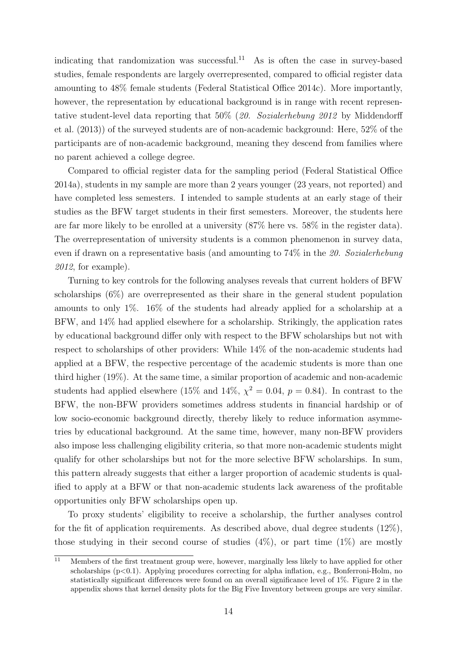indicating that randomization was successful.<sup>11</sup> As is often the case in survey-based studies, female respondents are largely overrepresented, compared to official register data amounting to 48% female students (Federal Statistical Office 2014c). More importantly, however, the representation by educational background is in range with recent representative student-level data reporting that 50% (20. Sozialerhebung 2012 by Middendorff et al. (2013)) of the surveyed students are of non-academic background: Here, 52% of the participants are of non-academic background, meaning they descend from families where no parent achieved a college degree.

Compared to official register data for the sampling period (Federal Statistical Office 2014a), students in my sample are more than 2 years younger (23 years, not reported) and have completed less semesters. I intended to sample students at an early stage of their studies as the BFW target students in their first semesters. Moreover, the students here are far more likely to be enrolled at a university (87% here vs. 58% in the register data). The overrepresentation of university students is a common phenomenon in survey data, even if drawn on a representative basis (and amounting to 74% in the 20. Sozialerhebung  $2012$ , for example).

Turning to key controls for the following analyses reveals that current holders of BFW scholarships (6%) are overrepresented as their share in the general student population amounts to only 1%. 16% of the students had already applied for a scholarship at a BFW, and 14% had applied elsewhere for a scholarship. Strikingly, the application rates by educational background differ only with respect to the BFW scholarships but not with respect to scholarships of other providers: While 14% of the non-academic students had applied at a BFW, the respective percentage of the academic students is more than one third higher (19%). At the same time, a similar proportion of academic and non-academic students had applied elsewhere (15% and 14%,  $\chi^2 = 0.04$ ,  $p = 0.84$ ). In contrast to the BFW, the non-BFW providers sometimes address students in financial hardship or of low socio-economic background directly, thereby likely to reduce information asymmetries by educational background. At the same time, however, many non-BFW providers also impose less challenging eligibility criteria, so that more non-academic students might qualify for other scholarships but not for the more selective BFW scholarships. In sum, this pattern already suggests that either a larger proportion of academic students is qualified to apply at a BFW or that non-academic students lack awareness of the profitable opportunities only BFW scholarships open up.

To proxy students' eligibility to receive a scholarship, the further analyses control for the fit of application requirements. As described above, dual degree students (12%), those studying in their second course of studies  $(4\%)$ , or part time  $(1\%)$  are mostly

 $\overline{11}$  Members of the first treatment group were, however, marginally less likely to have applied for other scholarships  $(p<0.1)$ . Applying procedures correcting for alpha inflation, e.g., Bonferroni-Holm, no statistically significant differences were found on an overall significance level of 1%. Figure 2 in the appendix shows that kernel density plots for the Big Five Inventory between groups are very similar.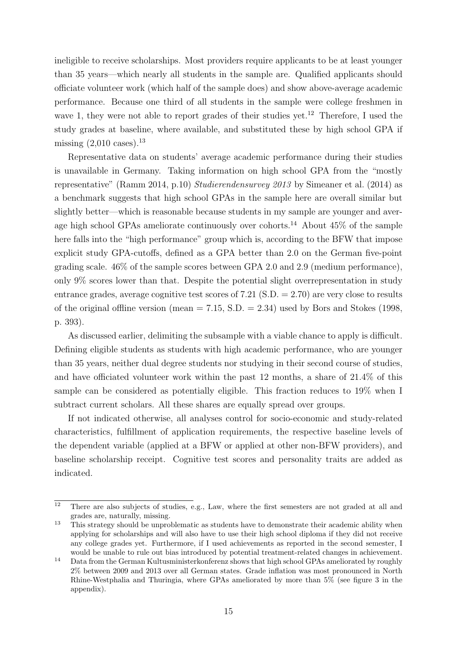ineligible to receive scholarships. Most providers require applicants to be at least younger than 35 years—which nearly all students in the sample are. Qualified applicants should officiate volunteer work (which half of the sample does) and show above-average academic performance. Because one third of all students in the sample were college freshmen in wave 1, they were not able to report grades of their studies yet.<sup>12</sup> Therefore, I used the study grades at baseline, where available, and substituted these by high school GPA if missing  $(2,010 \text{ cases})$ .<sup>13</sup>

Representative data on students' average academic performance during their studies is unavailable in Germany. Taking information on high school GPA from the "mostly representative" (Ramm 2014, p.10) Studierendensurvey 2013 by Simeaner et al. (2014) as a benchmark suggests that high school GPAs in the sample here are overall similar but slightly better—which is reasonable because students in my sample are younger and average high school GPAs ameliorate continuously over cohorts.<sup>14</sup> About  $45\%$  of the sample here falls into the "high performance" group which is, according to the BFW that impose explicit study GPA-cutoffs, defined as a GPA better than 2.0 on the German five-point grading scale. 46% of the sample scores between GPA 2.0 and 2.9 (medium performance), only 9% scores lower than that. Despite the potential slight overrepresentation in study entrance grades, average cognitive test scores of  $7.21$  (S.D.  $= 2.70$ ) are very close to results of the original offline version (mean  $= 7.15$ , S.D.  $= 2.34$ ) used by Bors and Stokes (1998, p. 393).

As discussed earlier, delimiting the subsample with a viable chance to apply is difficult. Defining eligible students as students with high academic performance, who are younger than 35 years, neither dual degree students nor studying in their second course of studies, and have officiated volunteer work within the past 12 months, a share of 21.4% of this sample can be considered as potentially eligible. This fraction reduces to 19% when I subtract current scholars. All these shares are equally spread over groups.

If not indicated otherwise, all analyses control for socio-economic and study-related characteristics, fulfillment of application requirements, the respective baseline levels of the dependent variable (applied at a BFW or applied at other non-BFW providers), and baseline scholarship receipt. Cognitive test scores and personality traits are added as indicated.

 $\overline{12}$  There are also subjects of studies, e.g., Law, where the first semesters are not graded at all and grades are, naturally, missing.

 $13$  This strategy should be unproblematic as students have to demonstrate their academic ability when applying for scholarships and will also have to use their high school diploma if they did not receive any college grades yet. Furthermore, if I used achievements as reported in the second semester, I would be unable to rule out bias introduced by potential treatment-related changes in achievement.

<sup>14</sup> Data from the German Kultusministerkonferenz shows that high school GPAs ameliorated by roughly 2% between 2009 and 2013 over all German states. Grade inflation was most pronounced in North Rhine-Westphalia and Thuringia, where GPAs ameliorated by more than 5% (see figure 3 in the appendix).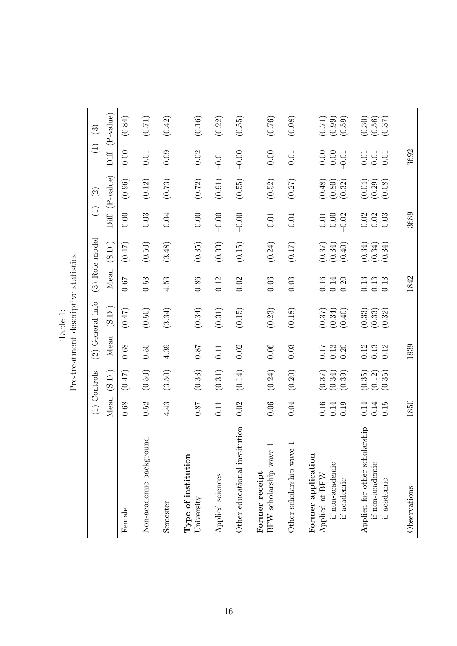|                                                                                                                                       |                      | (1) Controls                   |                             | $(2)$ General info                                        |                          | (3) Role model                                            |                                                     | $(1) - (2)$                      |                                                     | $(1) - (3)$                      |
|---------------------------------------------------------------------------------------------------------------------------------------|----------------------|--------------------------------|-----------------------------|-----------------------------------------------------------|--------------------------|-----------------------------------------------------------|-----------------------------------------------------|----------------------------------|-----------------------------------------------------|----------------------------------|
|                                                                                                                                       | Mean                 | (S.D.)                         | Mean                        | (S.D.)                                                    | Mean                     | (S.D.)                                                    | Diff.                                               | $(P-value)$                      |                                                     | $Diff. (P-value)$                |
| Female                                                                                                                                | 0.68                 | (0.47)                         | 0.68                        | (0.47)                                                    | 0.67                     | (0.47)                                                    | 0.00                                                | (0.96)                           | 0.00                                                | (0.84)                           |
| Non-academic background                                                                                                               | 0.52                 | (0.50)                         | 0.50                        | (0.50)                                                    | 0.53                     | (0.50)                                                    | 0.03                                                | (0.12)                           | $-0.01$                                             | (0.71)                           |
| Semester                                                                                                                              | 4.43                 | (3.50)                         | 4.39                        | (3.34)                                                    | 4.53                     | (3.48)                                                    | 0.04                                                | (0.73)                           | $-0.09$                                             | (0.42)                           |
| Type of institution<br>University                                                                                                     | <b>18.0</b>          | (0.33)                         | $0.87\,$                    | (0.34)                                                    | $0.86\,$                 | (0.35)                                                    | $0.00$                                              | (0.72)                           | 0.02                                                | (0.16)                           |
| Applied sciences                                                                                                                      | 0.11                 | (0.31)                         | 0.11                        | (0.31)                                                    | 0.12                     | (0.33)                                                    | $-0.00$                                             | (0.91)                           | $-0.01$                                             | (0.22)                           |
| Other educational institution                                                                                                         | 0.02                 | (0.14)                         | 0.02                        | (0.15)                                                    | 0.02                     | (0.15)                                                    | $-0.00$                                             | (0.55)                           | $-0.00$                                             | (0.55)                           |
| BFW scholarship wave<br>Former receipt                                                                                                | 0.06                 | (0.24)                         | 0.06                        | $\left( 0.23\right)$                                      | 0.06                     | (0.24)                                                    | 0.01                                                | (0.52)                           | 0.00                                                | (0.76)                           |
| $\overline{\phantom{0}}$<br>Other scholarship wave                                                                                    | 0.04                 | (0.20)                         | 0.03                        | (0.18)                                                    | 0.03                     | (0.17)                                                    | $0.01\,$                                            | (0.27)                           | 0.01                                                | (0.08)                           |
| Former application<br>if non-academic<br>Applied at BFW<br>if a<br>cademic $% \left( \left\langle \cdot ,\cdot \right\rangle \right)$ | 0.16<br>0.19<br>0.14 | $(0.37)$<br>$(0.34)$<br>(0.39) | 0.17<br>0.13<br>0.20        | (0.40)<br>$(0.37)$<br>$(0.34)$                            | 0.16<br>0.14<br>0.20     | $\begin{array}{c} (0.37) \\ (0.34) \\ (0.40) \end{array}$ | 0.00<br>$-0.02$<br>$-0.01$                          | $(0.48)$<br>$(0.80)$<br>$(0.32)$ | $-0.00$<br>$-0.00$<br>$-0.01$                       | $(0.71)$<br>$(0.99)$<br>$(0.59)$ |
| Applied for other scholarship<br>if non-academic<br>if academic                                                                       | 0.14<br>0.14<br>0.15 | (0.35)<br>(0.12)<br>(0.35)     | 0.12<br>$\frac{0.13}{0.12}$ | $\begin{array}{c} (0.33) \\ (0.33) \\ (0.32) \end{array}$ | 0.13<br>$\!0.13$<br>0.13 | $\begin{array}{c} (0.34) \\ (0.34) \\ (0.34) \end{array}$ | 0.02<br>$\begin{array}{c} 0.02 \\ 0.03 \end{array}$ | $(0.04)$<br>$(0.29)$<br>$(0.08)$ | $\begin{array}{c} 0.01 \\ 0.01 \\ 0.01 \end{array}$ | (0.30)<br>$(0.56)$<br>$(0.37)$   |
| Observations                                                                                                                          | 1850                 |                                | 1839                        |                                                           | 1842                     |                                                           | 3689                                                |                                  | 3692                                                |                                  |

Table 1:<br>Pre-treatment descriptive statistics Pre-treatment descriptive statistics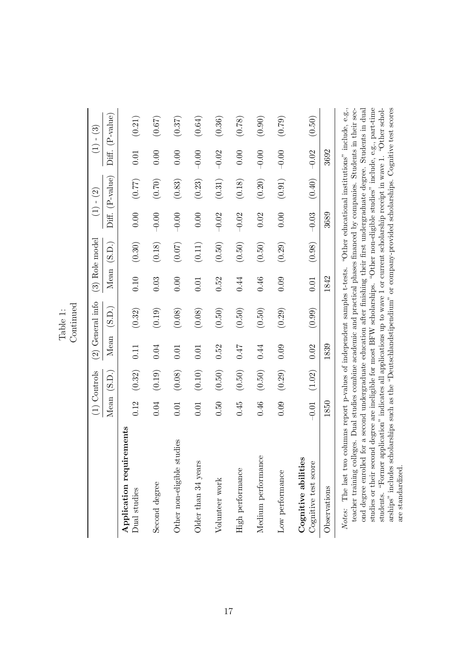|                                                                                                                                                                                                                                                                                                                                                                                                                                |          | $(1)$ Controls      |      | $(2)$ General info |      | $(3)$ Role model     |         | $(1) - (2)$     |         | $(1) - (3)$       |
|--------------------------------------------------------------------------------------------------------------------------------------------------------------------------------------------------------------------------------------------------------------------------------------------------------------------------------------------------------------------------------------------------------------------------------|----------|---------------------|------|--------------------|------|----------------------|---------|-----------------|---------|-------------------|
|                                                                                                                                                                                                                                                                                                                                                                                                                                |          | Mean (S.D.)         |      | Mean (S.D.)        |      | Mean (S.D.)          |         | Diff. (P-value) |         | $Diff. (P-value)$ |
| Application requirements<br>Dual studies                                                                                                                                                                                                                                                                                                                                                                                       | 0.12     | (0.32)              | 0.11 | (0.32)             | 0.10 | (0.30)               | 0.00    | (77.0)          | 0.01    | (0.21)            |
| Second degree                                                                                                                                                                                                                                                                                                                                                                                                                  | 0.04     | (0.19)              | 0.04 | (0.19)             | 0.03 | (0.18)               | $-0.00$ | (0.70)          | 0.00    | (0.67)            |
| Other non-eligible studies                                                                                                                                                                                                                                                                                                                                                                                                     | $0.01\,$ | (0.08)              | 0.01 | (0.08)             | 0.00 | (0.07)               | $-0.00$ | (0.83)          | 0.00    | (0.37)            |
| Older than 34 years                                                                                                                                                                                                                                                                                                                                                                                                            | 0.01     | (0.10)              | 0.01 | (0.08)             | 0.01 | $\left( 0.11\right)$ | 0.00    | (0.23)          | $-0.00$ | (0.64)            |
| Volunteer work                                                                                                                                                                                                                                                                                                                                                                                                                 | 0.50     | $\left(0.50\right)$ | 0.52 | $(0.50)$           | 0.52 | (0.50)               | $-0.02$ | (0.31)          | $-0.02$ | (0.36)            |
| High performance                                                                                                                                                                                                                                                                                                                                                                                                               | 0.45     | $\left(0.50\right)$ | 71.0 | (0.50)             | 0.44 | (0.50)               | $-0.02$ | (0.18)          | 0.00    | (0.78)            |
| Medium performance                                                                                                                                                                                                                                                                                                                                                                                                             | 0.46     | $(0.50)$            | 0.44 | (0.50)             | 0.46 | (0.50)               | 0.02    | (0.20)          | $-0.00$ | (0.90)            |
| Low performance                                                                                                                                                                                                                                                                                                                                                                                                                | 0.09     | (0.29)              | 0.09 | (0.29)             | 0.09 | (0.29)               | 0.00    | (0.91)          | $-0.00$ | (0.79)            |
| Cognitive abilities<br>Cognitive test score                                                                                                                                                                                                                                                                                                                                                                                    | $-0.01$  | (1.02)              | 0.02 | (0.99)             | 0.01 | (0.98)               | $-0.03$ | (0.40)          | $-0.02$ | (0.50)            |
| Observations                                                                                                                                                                                                                                                                                                                                                                                                                   | 1850     |                     | 1839 |                    | 1842 |                      | 3689    |                 | 3692    |                   |
| Notes: The last two columns report p-values of independent samples t-tests. "Other educational institutions" include, e.g.,<br>$\frac{1}{2}$ . The function of $\frac{1}{2}$ , $\frac{1}{2}$ , $\frac{1}{2}$ , $\frac{1}{2}$ , $\frac{1}{2}$ , $\frac{1}{2}$ , $\frac{1}{2}$ , $\frac{1}{2}$ , $\frac{1}{2}$ , $\frac{1}{2}$ , $\frac{1}{2}$ , $\frac{1}{2}$ , $\frac{1}{2}$ , $\frac{1}{2}$ , $\frac{1}{2}$ , $\frac{1}{2}$ , |          |                     |      |                    |      |                      |         |                 |         |                   |

students. "Former application" indicates all applications up to wave I or current scholarship receipt in wave 1. "Other schol-<br>arships" includes scholarships such as the "Deutschlandstipendium" or company-provided scholars teacher training colleges. Dual studies combine academic and practical phases financed by companies. Students in their sec-<br>ond degree enrolled for a second undergraduate education after finishing their first undergraduate studies or their second degree are ineligible for most BFW scholarships. "Other non-eligible studies" include, e.g., part-time teacher training colleges. Dual studies combine academic and practical phases financed by companies. Students in their second degree enrolled for a second undergraduate education after finishing their first undergraduate degree. Students in dual studies or their second degree are ineligible for most BFW scholarships. "Other non-eligible studies" include, e.g., part-time students. "Former application" indicates all applications up to wave 1 or current scholarship receipt in wave 1. "Other scholarships" includes scholarships such as the "Deutschlandstipendium" or company-provided scholarships. Cognitive test scores are standardized. are standardized.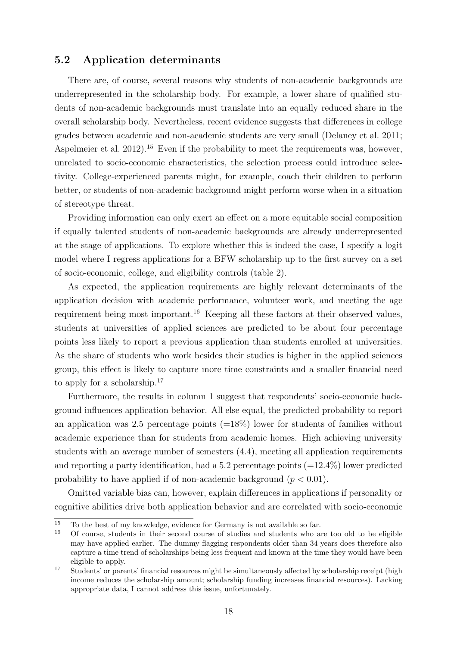## 5.2 Application determinants

There are, of course, several reasons why students of non-academic backgrounds are underrepresented in the scholarship body. For example, a lower share of qualified students of non-academic backgrounds must translate into an equally reduced share in the overall scholarship body. Nevertheless, recent evidence suggests that differences in college grades between academic and non-academic students are very small (Delaney et al. 2011; Aspelmeier et al.  $2012$ <sup>15</sup> Even if the probability to meet the requirements was, however, unrelated to socio-economic characteristics, the selection process could introduce selectivity. College-experienced parents might, for example, coach their children to perform better, or students of non-academic background might perform worse when in a situation of stereotype threat.

Providing information can only exert an effect on a more equitable social composition if equally talented students of non-academic backgrounds are already underrepresented at the stage of applications. To explore whether this is indeed the case, I specify a logit model where I regress applications for a BFW scholarship up to the first survey on a set of socio-economic, college, and eligibility controls (table 2).

As expected, the application requirements are highly relevant determinants of the application decision with academic performance, volunteer work, and meeting the age requirement being most important.<sup>16</sup> Keeping all these factors at their observed values, students at universities of applied sciences are predicted to be about four percentage points less likely to report a previous application than students enrolled at universities. As the share of students who work besides their studies is higher in the applied sciences group, this effect is likely to capture more time constraints and a smaller financial need to apply for a scholarship.<sup>17</sup>

Furthermore, the results in column 1 suggest that respondents' socio-economic background influences application behavior. All else equal, the predicted probability to report an application was 2.5 percentage points  $(=18\%)$  lower for students of families without academic experience than for students from academic homes. High achieving university students with an average number of semesters (4.4), meeting all application requirements and reporting a party identification, had a 5.2 percentage points  $(=12.4\%)$  lower predicted probability to have applied if of non-academic background  $(p < 0.01)$ .

Omitted variable bias can, however, explain differences in applications if personality or cognitive abilities drive both application behavior and are correlated with socio-economic

<sup>&</sup>lt;sup>15</sup> To the best of my knowledge, evidence for Germany is not available so far.<br> $\frac{16}{16}$  Of course, students in their second source of studies and students who are

<sup>16</sup> Of course, students in their second course of studies and students who are too old to be eligible may have applied earlier. The dummy flagging respondents older than 34 years does therefore also capture a time trend of scholarships being less frequent and known at the time they would have been eligible to apply.

<sup>&</sup>lt;sup>17</sup> Students' or parents' financial resources might be simultaneously affected by scholarship receipt (high income reduces the scholarship amount; scholarship funding increases financial resources). Lacking appropriate data, I cannot address this issue, unfortunately.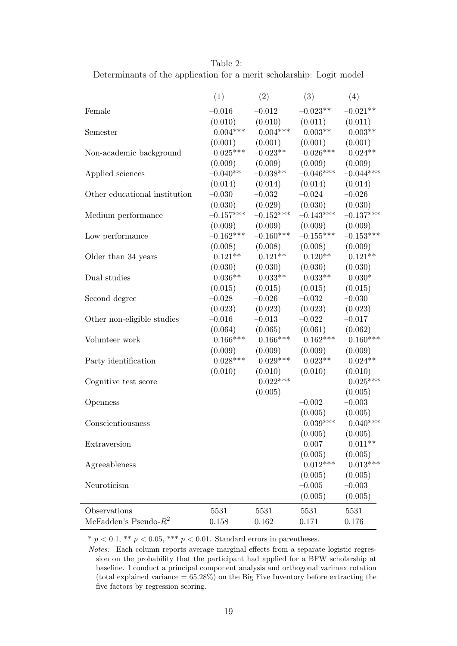|                               | (1)         | (2)         | (3)         | (4)         |
|-------------------------------|-------------|-------------|-------------|-------------|
| Female                        | $-0.016$    | $-0.012$    | $-0.023**$  | $-0.021**$  |
|                               | (0.010)     | (0.010)     | (0.011)     | (0.011)     |
| Semester                      | $0.004***$  | $0.004***$  | $0.003**$   | $0.003**$   |
|                               | (0.001)     | (0.001)     | (0.001)     | (0.001)     |
| Non-academic background       | $-0.025***$ | $-0.023**$  | $-0.026***$ | $-0.024**$  |
|                               | (0.009)     | (0.009)     | (0.009)     | (0.009)     |
| Applied sciences              | $-0.040**$  | $-0.038**$  | $-0.046***$ | $-0.044***$ |
|                               | (0.014)     | (0.014)     | (0.014)     | (0.014)     |
| Other educational institution | $-0.030$    | $-0.032$    | $-0.024$    | $-0.026$    |
|                               | (0.030)     | (0.029)     | (0.030)     | (0.030)     |
| Medium performance            | $-0.157***$ | $-0.152***$ | $-0.143***$ | $-0.137***$ |
|                               | (0.009)     | (0.009)     | (0.009)     | (0.009)     |
| Low performance               | $-0.162***$ | $-0.160***$ | $-0.155***$ | $-0.153***$ |
|                               | (0.008)     | (0.008)     | (0.008)     | (0.009)     |
| Older than 34 years           | $-0.121**$  | $-0.121**$  | $-0.120**$  | $-0.121**$  |
|                               | (0.030)     | (0.030)     | (0.030)     | (0.030)     |
| Dual studies                  | $-0.036**$  | $-0.033**$  | $-0.033**$  | $-0.030*$   |
|                               | (0.015)     | (0.015)     | (0.015)     | (0.015)     |
| Second degree                 | $-0.028$    | $-0.026$    | $-0.032$    | $-0.030$    |
|                               | (0.023)     | (0.023)     | (0.023)     | (0.023)     |
| Other non-eligible studies    | $-0.016$    | $-0.013$    | $-0.022$    | $-0.017$    |
|                               | (0.064)     | (0.065)     | (0.061)     | (0.062)     |
| Volunteer work                | $0.166***$  | $0.166***$  | $0.162***$  | $0.160***$  |
|                               | (0.009)     | (0.009)     | (0.009)     | (0.009)     |
| Party identification          | $0.028***$  | $0.029***$  | $0.023**$   | $0.024**$   |
|                               | (0.010)     | (0.010)     | (0.010)     | (0.010)     |
| Cognitive test score          |             | $0.022***$  |             | $0.025***$  |
|                               |             | (0.005)     |             | (0.005)     |
| Openness                      |             |             | $-0.002$    | $-0.003$    |
|                               |             |             | (0.005)     | (0.005)     |
| Conscientiousness             |             |             | $0.039***$  | $0.040***$  |
|                               |             |             | (0.005)     | (0.005)     |
| Extraversion                  |             |             | 0.007       | $0.011**$   |
|                               |             |             | (0.005)     | (0.005)     |
| Agreeableness                 |             |             | $-0.012***$ | $-0.013***$ |
|                               |             |             | (0.005)     | (0.005)     |
| Neuroticism                   |             |             | $-0.005$    | $-0.003$    |
|                               |             |             | (0.005)     | (0.005)     |
| Observations                  | 5531        | 5531        | 5531        | 5531        |
| McFadden's Pseudo- $R^2$      | 0.158       | 0.162       | 0.171       | 0.176       |
|                               |             |             |             |             |

Table 2: Determinants of the application for a merit scholarship: Logit model

\*  $p < 0.1$ , \*\*  $p < 0.05$ , \*\*\*  $p < 0.01$ . Standard errors in parentheses.

Notes: Each column reports average marginal effects from a separate logistic regression on the probability that the participant had applied for a BFW scholarship at baseline. I conduct a principal component analysis and orthogonal varimax rotation (total explained variance  $= 65.28\%$ ) on the Big Five Inventory before extracting the five factors by regression scoring.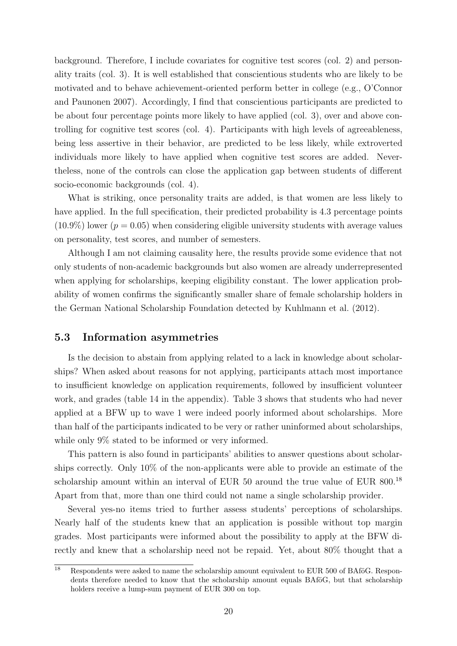background. Therefore, I include covariates for cognitive test scores (col. 2) and personality traits (col. 3). It is well established that conscientious students who are likely to be motivated and to behave achievement-oriented perform better in college (e.g., O'Connor and Paunonen 2007). Accordingly, I find that conscientious participants are predicted to be about four percentage points more likely to have applied (col. 3), over and above controlling for cognitive test scores (col. 4). Participants with high levels of agreeableness, being less assertive in their behavior, are predicted to be less likely, while extroverted individuals more likely to have applied when cognitive test scores are added. Nevertheless, none of the controls can close the application gap between students of different socio-economic backgrounds (col. 4).

What is striking, once personality traits are added, is that women are less likely to have applied. In the full specification, their predicted probability is 4.3 percentage points  $(10.9\%)$  lower ( $p = 0.05$ ) when considering eligible university students with average values on personality, test scores, and number of semesters.

Although I am not claiming causality here, the results provide some evidence that not only students of non-academic backgrounds but also women are already underrepresented when applying for scholarships, keeping eligibility constant. The lower application probability of women confirms the significantly smaller share of female scholarship holders in the German National Scholarship Foundation detected by Kuhlmann et al. (2012).

#### 5.3 Information asymmetries

Is the decision to abstain from applying related to a lack in knowledge about scholarships? When asked about reasons for not applying, participants attach most importance to insufficient knowledge on application requirements, followed by insufficient volunteer work, and grades (table 14 in the appendix). Table 3 shows that students who had never applied at a BFW up to wave 1 were indeed poorly informed about scholarships. More than half of the participants indicated to be very or rather uninformed about scholarships, while only  $9\%$  stated to be informed or very informed.

This pattern is also found in participants' abilities to answer questions about scholarships correctly. Only 10% of the non-applicants were able to provide an estimate of the scholarship amount within an interval of EUR 50 around the true value of EUR 800.<sup>18</sup> Apart from that, more than one third could not name a single scholarship provider.

Several yes-no items tried to further assess students' perceptions of scholarships. Nearly half of the students knew that an application is possible without top margin grades. Most participants were informed about the possibility to apply at the BFW directly and knew that a scholarship need not be repaid. Yet, about 80% thought that a

 $18$  Respondents were asked to name the scholarship amount equivalent to EUR 500 of BAföG. Respondents therefore needed to know that the scholarship amount equals BAfoG, but that scholarship holders receive a lump-sum payment of EUR 300 on top.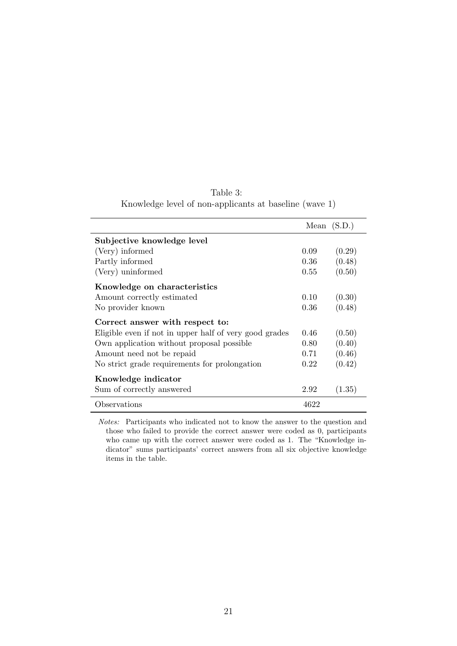|                                                        |      | Mean $(S.D.)$ |
|--------------------------------------------------------|------|---------------|
| Subjective knowledge level                             |      |               |
| (Very) informed                                        | 0.09 | (0.29)        |
| Partly informed                                        | 0.36 | (0.48)        |
| (Very) uninformed                                      | 0.55 | (0.50)        |
| Knowledge on characteristics                           |      |               |
| Amount correctly estimated                             | 0.10 | (0.30)        |
| No provider known                                      | 0.36 | (0.48)        |
| Correct answer with respect to:                        |      |               |
| Eligible even if not in upper half of very good grades | 0.46 | (0.50)        |
| Own application without proposal possible              | 0.80 | (0.40)        |
| Amount need not be repaid                              | 0.71 | (0.46)        |
| No strict grade requirements for prolongation          | 0.22 | (0.42)        |
| Knowledge indicator                                    |      |               |
| Sum of correctly answered                              | 2.92 | (1.35)        |
| Observations                                           | 4622 |               |

| Table 3:                                               |  |
|--------------------------------------------------------|--|
| Knowledge level of non-applicants at baseline (wave 1) |  |

Notes: Participants who indicated not to know the answer to the question and those who failed to provide the correct answer were coded as 0, participants who came up with the correct answer were coded as 1. The "Knowledge indicator" sums participants' correct answers from all six objective knowledge items in the table.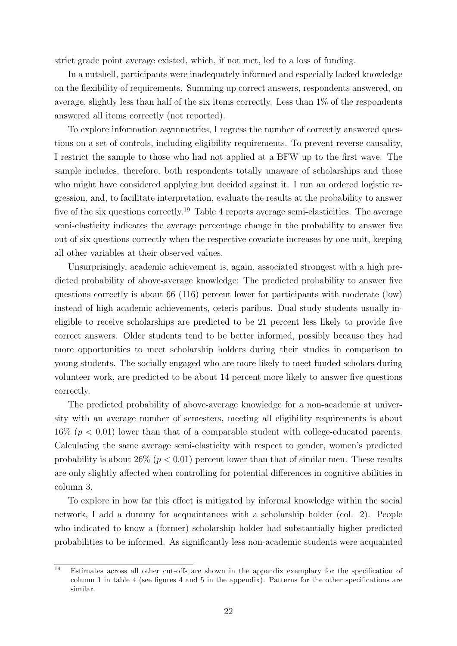strict grade point average existed, which, if not met, led to a loss of funding.

In a nutshell, participants were inadequately informed and especially lacked knowledge on the flexibility of requirements. Summing up correct answers, respondents answered, on average, slightly less than half of the six items correctly. Less than 1% of the respondents answered all items correctly (not reported).

To explore information asymmetries, I regress the number of correctly answered questions on a set of controls, including eligibility requirements. To prevent reverse causality, I restrict the sample to those who had not applied at a BFW up to the first wave. The sample includes, therefore, both respondents totally unaware of scholarships and those who might have considered applying but decided against it. I run an ordered logistic regression, and, to facilitate interpretation, evaluate the results at the probability to answer five of the six questions correctly.<sup>19</sup> Table 4 reports average semi-elasticities. The average semi-elasticity indicates the average percentage change in the probability to answer five out of six questions correctly when the respective covariate increases by one unit, keeping all other variables at their observed values.

Unsurprisingly, academic achievement is, again, associated strongest with a high predicted probability of above-average knowledge: The predicted probability to answer five questions correctly is about 66 (116) percent lower for participants with moderate (low) instead of high academic achievements, ceteris paribus. Dual study students usually ineligible to receive scholarships are predicted to be 21 percent less likely to provide five correct answers. Older students tend to be better informed, possibly because they had more opportunities to meet scholarship holders during their studies in comparison to young students. The socially engaged who are more likely to meet funded scholars during volunteer work, are predicted to be about 14 percent more likely to answer five questions correctly.

The predicted probability of above-average knowledge for a non-academic at university with an average number of semesters, meeting all eligibility requirements is about  $16\%$  ( $p < 0.01$ ) lower than that of a comparable student with college-educated parents. Calculating the same average semi-elasticity with respect to gender, women's predicted probability is about  $26\%$  ( $p < 0.01$ ) percent lower than that of similar men. These results are only slightly affected when controlling for potential differences in cognitive abilities in column 3.

To explore in how far this effect is mitigated by informal knowledge within the social network, I add a dummy for acquaintances with a scholarship holder (col. 2). People who indicated to know a (former) scholarship holder had substantially higher predicted probabilities to be informed. As significantly less non-academic students were acquainted

<sup>&</sup>lt;sup>19</sup> Estimates across all other cut-offs are shown in the appendix exemplary for the specification of column 1 in table 4 (see figures 4 and 5 in the appendix). Patterns for the other specifications are similar.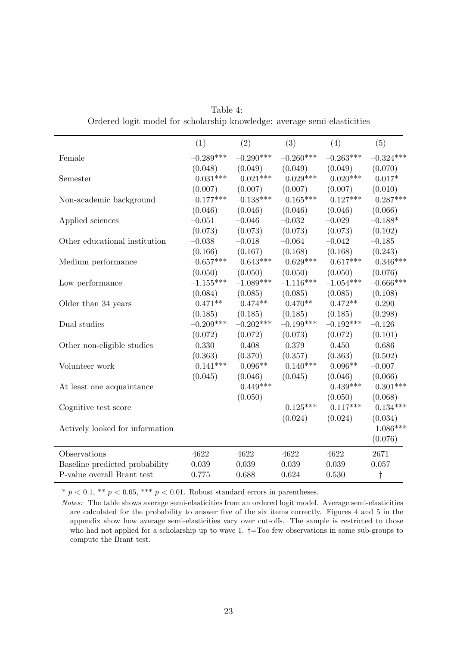| Table 4:                                                                 |  |
|--------------------------------------------------------------------------|--|
| Ordered logit model for scholarship knowledge: average semi-elasticities |  |

|                                 | (1)         | (2)         | (3)         | (4)         | (5)         |
|---------------------------------|-------------|-------------|-------------|-------------|-------------|
| Female                          | $-0.289***$ | $-0.290***$ | $-0.260***$ | $-0.263***$ | $-0.324***$ |
|                                 | (0.048)     | (0.049)     | (0.049)     | (0.049)     | (0.070)     |
| Semester                        | $0.031***$  | $0.021***$  | $0.029***$  | $0.020***$  | $0.017*$    |
|                                 | (0.007)     | (0.007)     | (0.007)     | (0.007)     | (0.010)     |
| Non-academic background         | $-0.177***$ | $-0.138***$ | $-0.165***$ | $-0.127***$ | $-0.287***$ |
|                                 | (0.046)     | (0.046)     | (0.046)     | (0.046)     | (0.066)     |
| Applied sciences                | $-0.051$    | $-0.046$    | $-0.032$    | $-0.029$    | $-0.188*$   |
|                                 | (0.073)     | (0.073)     | (0.073)     | (0.073)     | (0.102)     |
| Other educational institution   | $-0.038$    | $-0.018$    | $-0.064$    | $-0.042$    | $-0.185$    |
|                                 | (0.166)     | (0.167)     | (0.168)     | (0.168)     | (0.243)     |
| Medium performance              | $-0.657***$ | $-0.643***$ | $-0.629***$ | $-0.617***$ | $-0.346***$ |
|                                 | (0.050)     | (0.050)     | (0.050)     | (0.050)     | (0.076)     |
| Low performance                 | $-1.155***$ | $-1.089***$ | $-1.116***$ | $-1.054***$ | $-0.666***$ |
|                                 | (0.084)     | (0.085)     | (0.085)     | (0.085)     | (0.108)     |
| Older than 34 years             | $0.471**$   | $0.474**$   | $0.470**$   | $0.472**$   | 0.290       |
|                                 | (0.185)     | (0.185)     | (0.185)     | (0.185)     | (0.298)     |
| Dual studies                    | $-0.209***$ | $-0.202***$ | $-0.199***$ | $-0.192***$ | $-0.126$    |
|                                 | (0.072)     | (0.072)     | (0.073)     | (0.072)     | (0.101)     |
| Other non-eligible studies      | 0.330       | 0.408       | 0.379       | 0.450       | 0.686       |
|                                 | (0.363)     | (0.370)     | (0.357)     | (0.363)     | (0.502)     |
| Volunteer work                  | $0.141***$  | $0.096**$   | $0.140***$  | $0.096**$   | $-0.007$    |
|                                 | (0.045)     | (0.046)     | (0.045)     | (0.046)     | (0.066)     |
| At least one acquaintance       |             | $0.449***$  |             | $0.439***$  | $0.301***$  |
|                                 |             | (0.050)     |             | (0.050)     | (0.068)     |
| Cognitive test score            |             |             | $0.125***$  | $0.117***$  | $0.134***$  |
|                                 |             |             | (0.024)     | (0.024)     | (0.034)     |
| Actively looked for information |             |             |             |             | $1.086***$  |
|                                 |             |             |             |             | (0.076)     |
| Observations                    | 4622        | 4622        | 4622        | 4622        | 2671        |
| Baseline predicted probability  | 0.039       | 0.039       | 0.039       | 0.039       | 0.057       |
| P-value overall Brant test      | 0.775       | 0.688       | 0.624       | 0.530       | $\dagger$   |

\*  $p < 0.1$ , \*\*  $p < 0.05$ , \*\*\*  $p < 0.01$ . Robust standard errors in parentheses.

Notes: The table shows average semi-elasticities from an ordered logit model. Average semi-elasticities are calculated for the probability to answer five of the six items correctly. Figures 4 and 5 in the appendix show how average semi-elasticities vary over cut-offs. The sample is restricted to those who had not applied for a scholarship up to wave 1.  $\dagger$ =Too few observations in some sub-groups to compute the Brant test.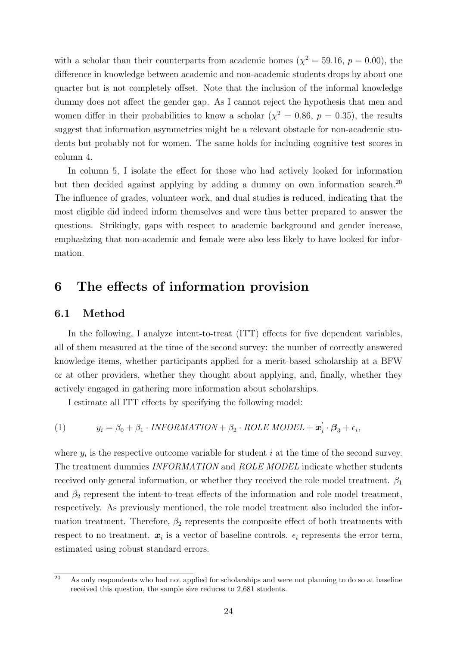with a scholar than their counterparts from academic homes  $(\chi^2 = 59.16, p = 0.00)$ , the difference in knowledge between academic and non-academic students drops by about one quarter but is not completely offset. Note that the inclusion of the informal knowledge dummy does not affect the gender gap. As I cannot reject the hypothesis that men and women differ in their probabilities to know a scholar  $(\chi^2 = 0.86, p = 0.35)$ , the results suggest that information asymmetries might be a relevant obstacle for non-academic students but probably not for women. The same holds for including cognitive test scores in column 4.

In column 5, I isolate the effect for those who had actively looked for information but then decided against applying by adding a dummy on own information search.<sup>20</sup> The influence of grades, volunteer work, and dual studies is reduced, indicating that the most eligible did indeed inform themselves and were thus better prepared to answer the questions. Strikingly, gaps with respect to academic background and gender increase, emphasizing that non-academic and female were also less likely to have looked for information.

# 6 The effects of information provision

## 6.1 Method

In the following, I analyze intent-to-treat (ITT) effects for five dependent variables, all of them measured at the time of the second survey: the number of correctly answered knowledge items, whether participants applied for a merit-based scholarship at a BFW or at other providers, whether they thought about applying, and, finally, whether they actively engaged in gathering more information about scholarships.

I estimate all ITT effects by specifying the following model:

(1) 
$$
y_i = \beta_0 + \beta_1 \cdot \text{INFORMATION} + \beta_2 \cdot \text{ROLE MODEL} + \mathbf{x}'_i \cdot \mathbf{\beta}_3 + \epsilon_i,
$$

where  $y_i$  is the respective outcome variable for student i at the time of the second survey. The treatment dummies INFORMATION and ROLE MODEL indicate whether students received only general information, or whether they received the role model treatment.  $\beta_1$ and  $\beta_2$  represent the intent-to-treat effects of the information and role model treatment, respectively. As previously mentioned, the role model treatment also included the information treatment. Therefore,  $\beta_2$  represents the composite effect of both treatments with respect to no treatment.  $x_i$  is a vector of baseline controls.  $\epsilon_i$  represents the error term, estimated using robust standard errors.

 $\overline{20}$  As only respondents who had not applied for scholarships and were not planning to do so at baseline received this question, the sample size reduces to 2,681 students.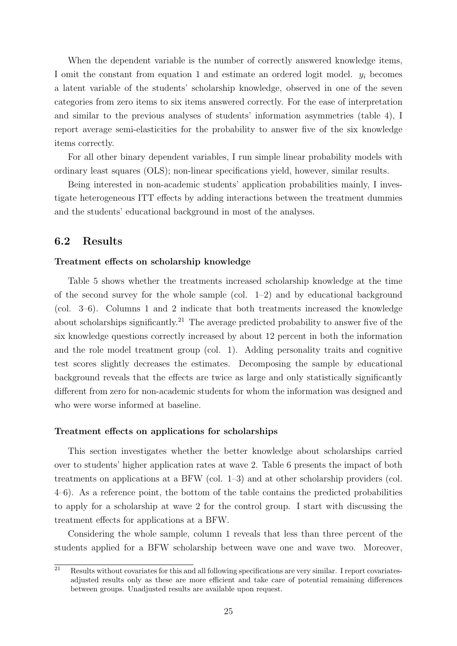When the dependent variable is the number of correctly answered knowledge items, I omit the constant from equation 1 and estimate an ordered logit model.  $y_i$  becomes a latent variable of the students' scholarship knowledge, observed in one of the seven categories from zero items to six items answered correctly. For the ease of interpretation and similar to the previous analyses of students' information asymmetries (table 4), I report average semi-elasticities for the probability to answer five of the six knowledge items correctly.

For all other binary dependent variables, I run simple linear probability models with ordinary least squares (OLS); non-linear specifications yield, however, similar results.

Being interested in non-academic students' application probabilities mainly, I investigate heterogeneous ITT effects by adding interactions between the treatment dummies and the students' educational background in most of the analyses.

#### 6.2 Results

#### Treatment effects on scholarship knowledge

Table 5 shows whether the treatments increased scholarship knowledge at the time of the second survey for the whole sample (col.  $1-2$ ) and by educational background (col. 3–6). Columns 1 and 2 indicate that both treatments increased the knowledge about scholarships significantly.<sup>21</sup> The average predicted probability to answer five of the six knowledge questions correctly increased by about 12 percent in both the information and the role model treatment group (col. 1). Adding personality traits and cognitive test scores slightly decreases the estimates. Decomposing the sample by educational background reveals that the effects are twice as large and only statistically significantly different from zero for non-academic students for whom the information was designed and who were worse informed at baseline.

#### Treatment effects on applications for scholarships

This section investigates whether the better knowledge about scholarships carried over to students' higher application rates at wave 2. Table 6 presents the impact of both treatments on applications at a BFW (col. 1–3) and at other scholarship providers (col. 4–6). As a reference point, the bottom of the table contains the predicted probabilities to apply for a scholarship at wave 2 for the control group. I start with discussing the treatment effects for applications at a BFW.

Considering the whole sample, column 1 reveals that less than three percent of the students applied for a BFW scholarship between wave one and wave two. Moreover,

 $\overline{a}$  Results without covariates for this and all following specifications are very similar. I report covariatesadjusted results only as these are more efficient and take care of potential remaining differences between groups. Unadjusted results are available upon request.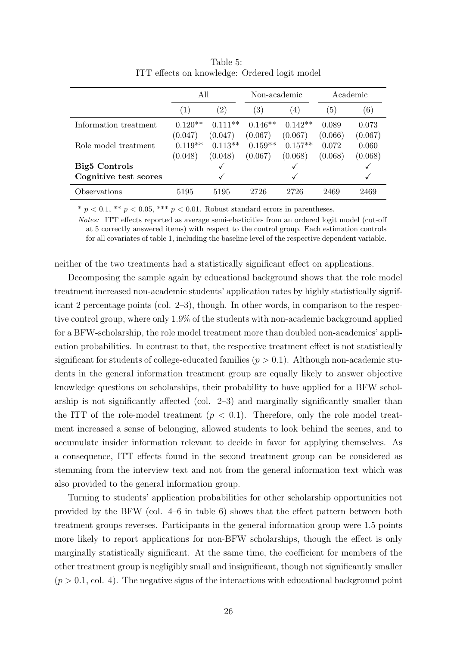|                       | All       |                   | Non-academic      |           |         | Academic |
|-----------------------|-----------|-------------------|-------------------|-----------|---------|----------|
|                       | (1)       | $\left( 2\right)$ | $\left( 3\right)$ | (4)       | (5)     | (6)      |
| Information treatment | $0.120**$ | $0.111**$         | $0.146**$         | $0.142**$ | 0.089   | 0.073    |
|                       | (0.047)   | (0.047)           | (0.067)           | (0.067)   | (0.066) | (0.067)  |
| Role model treatment  | $0.119**$ | $0.113**$         | $0.159**$         | $0.157**$ | 0.072   | 0.060    |
|                       | (0.048)   | (0.048)           | (0.067)           | (0.068)   | (0.068) | (0.068)  |
| <b>Big5</b> Controls  |           |                   |                   |           |         |          |
| Cognitive test scores |           |                   |                   |           |         |          |
| Observations          | 5195      | 5195              | 2726              | 2726      | 2469    | 2469     |

Table 5: ITT effects on knowledge: Ordered logit model

 $* p < 0.1$ ,  $** p < 0.05$ ,  $*** p < 0.01$ . Robust standard errors in parentheses.

Notes: ITT effects reported as average semi-elasticities from an ordered logit model (cut-off at 5 correctly answered items) with respect to the control group. Each estimation controls for all covariates of table 1, including the baseline level of the respective dependent variable.

neither of the two treatments had a statistically significant effect on applications.

Decomposing the sample again by educational background shows that the role model treatment increased non-academic students' application rates by highly statistically significant 2 percentage points (col. 2–3), though. In other words, in comparison to the respective control group, where only 1.9% of the students with non-academic background applied for a BFW-scholarship, the role model treatment more than doubled non-academics' application probabilities. In contrast to that, the respective treatment effect is not statistically significant for students of college-educated families  $(p > 0.1)$ . Although non-academic students in the general information treatment group are equally likely to answer objective knowledge questions on scholarships, their probability to have applied for a BFW scholarship is not significantly affected (col.  $2-3$ ) and marginally significantly smaller than the ITT of the role-model treatment  $(p < 0.1)$ . Therefore, only the role model treatment increased a sense of belonging, allowed students to look behind the scenes, and to accumulate insider information relevant to decide in favor for applying themselves. As a consequence, ITT effects found in the second treatment group can be considered as stemming from the interview text and not from the general information text which was also provided to the general information group.

Turning to students' application probabilities for other scholarship opportunities not provided by the BFW (col. 4–6 in table 6) shows that the effect pattern between both treatment groups reverses. Participants in the general information group were 1.5 points more likely to report applications for non-BFW scholarships, though the effect is only marginally statistically significant. At the same time, the coefficient for members of the other treatment group is negligibly small and insignificant, though not significantly smaller  $(p > 0.1, \text{col. } 4)$ . The negative signs of the interactions with educational background point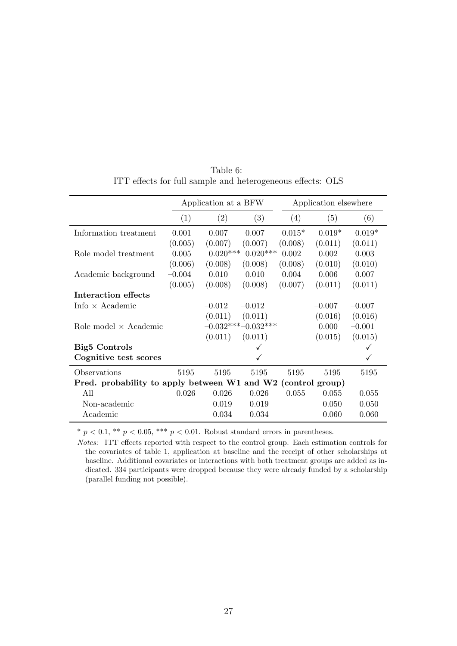|                                                              |          | Application at a BFW |                      |          | Application elsewhere |          |
|--------------------------------------------------------------|----------|----------------------|----------------------|----------|-----------------------|----------|
|                                                              | (1)      | (2)                  | (3)                  | (4)      | (5)                   | (6)      |
| Information treatment                                        | 0.001    | 0.007                | 0.007                | $0.015*$ | $0.019*$              | $0.019*$ |
|                                                              | (0.005)  | (0.007)              | (0.007)              | (0.008)  | (0.011)               | (0.011)  |
| Role model treatment                                         | 0.005    | $0.020***$           | $0.020***$           | 0.002    | 0.002                 | 0.003    |
|                                                              | (0.006)  | (0.008)              | (0.008)              | (0.008)  | (0.010)               | (0.010)  |
| Academic background                                          | $-0.004$ | 0.010                | 0.010                | 0.004    | 0.006                 | 0.007    |
|                                                              | (0.005)  | (0.008)              | (0.008)              | (0.007)  | (0.011)               | (0.011)  |
| Interaction effects                                          |          |                      |                      |          |                       |          |
| Info $\times$ Academic                                       |          | $-0.012$             | $-0.012$             |          | $-0.007$              | $-0.007$ |
|                                                              |          | (0.011)              | (0.011)              |          | (0.016)               | (0.016)  |
| Role model $\times$ Academic                                 |          |                      | $-0.032***-0.032***$ |          | 0.000                 | $-0.001$ |
|                                                              |          | (0.011)              | (0.011)              |          | (0.015)               | (0.015)  |
| <b>Big5</b> Controls                                         |          |                      |                      |          |                       |          |
| Cognitive test scores                                        |          |                      |                      |          |                       |          |
| Observations                                                 | 5195     | 5195                 | 5195                 | 5195     | 5195                  | 5195     |
| Pred. probability to apply between W1 and W2 (control group) |          |                      |                      |          |                       |          |
| All                                                          | 0.026    | 0.026                | 0.026                | 0.055    | 0.055                 | 0.055    |
| Non-academic                                                 |          | 0.019                | 0.019                |          | 0.050                 | 0.050    |
| Academic                                                     |          | 0.034                | 0.034                |          | 0.060                 | 0.060    |

Table 6: ITT effects for full sample and heterogeneous effects: OLS

\*  $p < 0.1$ , \*\*  $p < 0.05$ , \*\*\*  $p < 0.01$ . Robust standard errors in parentheses.

Notes: ITT effects reported with respect to the control group. Each estimation controls for the covariates of table 1, application at baseline and the receipt of other scholarships at baseline. Additional covariates or interactions with both treatment groups are added as indicated. 334 participants were dropped because they were already funded by a scholarship (parallel funding not possible).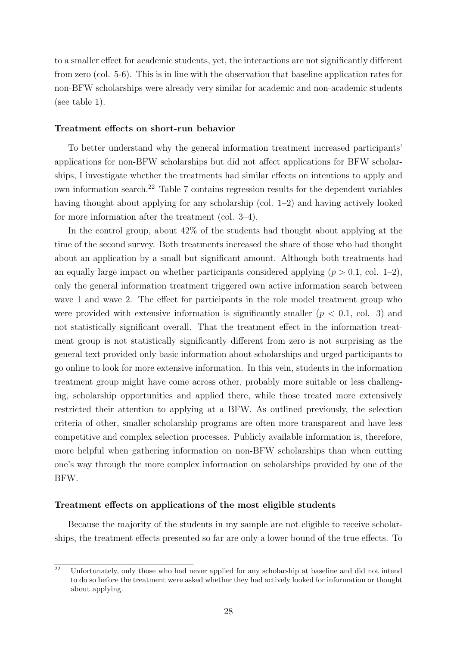to a smaller effect for academic students, yet, the interactions are not significantly different from zero (col. 5-6). This is in line with the observation that baseline application rates for non-BFW scholarships were already very similar for academic and non-academic students (see table 1).

#### Treatment effects on short-run behavior

To better understand why the general information treatment increased participants' applications for non-BFW scholarships but did not affect applications for BFW scholarships, I investigate whether the treatments had similar effects on intentions to apply and own information search.<sup>22</sup> Table 7 contains regression results for the dependent variables having thought about applying for any scholarship (col. 1–2) and having actively looked for more information after the treatment (col. 3–4).

In the control group, about 42% of the students had thought about applying at the time of the second survey. Both treatments increased the share of those who had thought about an application by a small but significant amount. Although both treatments had an equally large impact on whether participants considered applying  $(p > 0.1, \text{ col. } 1-2)$ , only the general information treatment triggered own active information search between wave 1 and wave 2. The effect for participants in the role model treatment group who were provided with extensive information is significantly smaller  $(p < 0.1, \text{ col. } 3)$  and not statistically significant overall. That the treatment effect in the information treatment group is not statistically significantly different from zero is not surprising as the general text provided only basic information about scholarships and urged participants to go online to look for more extensive information. In this vein, students in the information treatment group might have come across other, probably more suitable or less challenging, scholarship opportunities and applied there, while those treated more extensively restricted their attention to applying at a BFW. As outlined previously, the selection criteria of other, smaller scholarship programs are often more transparent and have less competitive and complex selection processes. Publicly available information is, therefore, more helpful when gathering information on non-BFW scholarships than when cutting one's way through the more complex information on scholarships provided by one of the BFW.

#### Treatment effects on applications of the most eligible students

Because the majority of the students in my sample are not eligible to receive scholarships, the treatment effects presented so far are only a lower bound of the true effects. To

 $\overline{a^2}$  Unfortunately, only those who had never applied for any scholarship at baseline and did not intend to do so before the treatment were asked whether they had actively looked for information or thought about applying.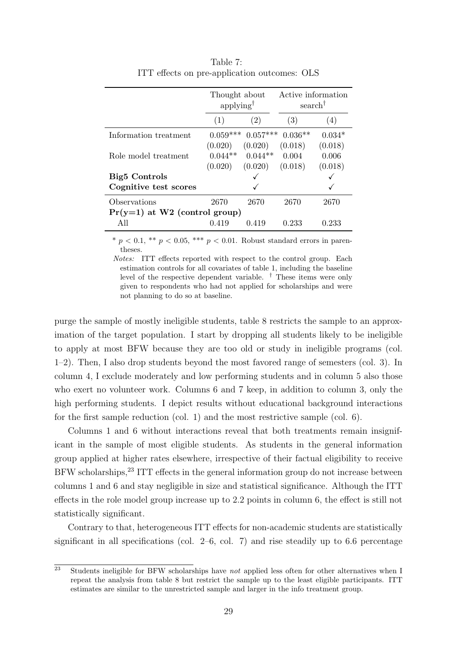|                                 | Thought about<br>applying |            | Active information<br>search <sup>†</sup> |          |
|---------------------------------|---------------------------|------------|-------------------------------------------|----------|
|                                 | (1)                       | (2)        | (3)                                       | (4)      |
| Information treatment           | $0.059***$                | $0.057***$ | $0.036**$                                 | $0.034*$ |
|                                 | (0.020)                   | (0.020)    | (0.018)                                   | (0.018)  |
| Role model treatment            | $0.044**$                 | $0.044**$  | 0.004                                     | 0.006    |
|                                 | (0.020)                   | (0.020)    | (0.018)                                   | (0.018)  |
| <b>Big5</b> Controls            |                           |            |                                           |          |
| Cognitive test scores           |                           |            |                                           |          |
| Observations                    | 2670                      | 2670       | 2670                                      | 2670     |
| $Pr(y=1)$ at W2 (control group) |                           |            |                                           |          |
| All                             | 0.419                     | 0.419      | 0.233                                     | 0.233    |

Table 7: ITT effects on pre-application outcomes: OLS

\*  $p < 0.1$ , \*\*  $p < 0.05$ , \*\*\*  $p < 0.01$ . Robust standard errors in parentheses.

Notes: ITT effects reported with respect to the control group. Each estimation controls for all covariates of table 1, including the baseline level of the respective dependent variable. † These items were only given to respondents who had not applied for scholarships and were not planning to do so at baseline.

purge the sample of mostly ineligible students, table 8 restricts the sample to an approximation of the target population. I start by dropping all students likely to be ineligible to apply at most BFW because they are too old or study in ineligible programs (col. 1–2). Then, I also drop students beyond the most favored range of semesters (col. 3). In column 4, I exclude moderately and low performing students and in column 5 also those who exert no volunteer work. Columns 6 and 7 keep, in addition to column 3, only the high performing students. I depict results without educational background interactions for the first sample reduction (col. 1) and the most restrictive sample (col. 6).

Columns 1 and 6 without interactions reveal that both treatments remain insignificant in the sample of most eligible students. As students in the general information group applied at higher rates elsewhere, irrespective of their factual eligibility to receive BFW scholarships,<sup>23</sup> ITT effects in the general information group do not increase between columns 1 and 6 and stay negligible in size and statistical significance. Although the ITT effects in the role model group increase up to 2.2 points in column 6, the effect is still not statistically significant.

Contrary to that, heterogeneous ITT effects for non-academic students are statistically significant in all specifications (col.  $2-6$ , col. 7) and rise steadily up to 6.6 percentage

 $\overline{a^2}$  Students ineligible for BFW scholarships have not applied less often for other alternatives when I repeat the analysis from table 8 but restrict the sample up to the least eligible participants. ITT estimates are similar to the unrestricted sample and larger in the info treatment group.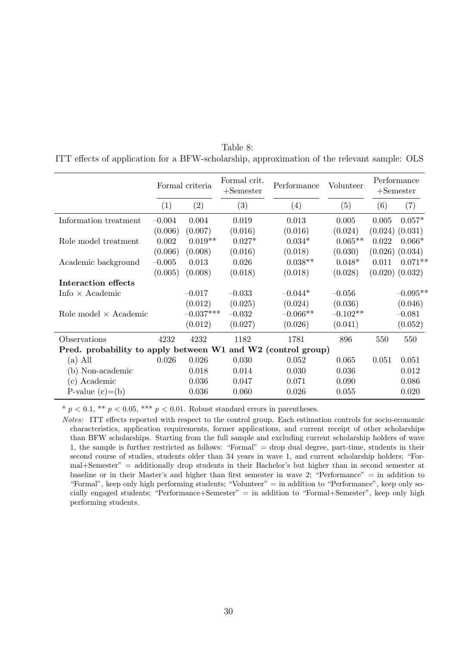|                                                              |          | Formal criteria | Formal crit.<br>$+$ Semester | Performance | Volunteer  |       | Performance<br>$+$ Semester |
|--------------------------------------------------------------|----------|-----------------|------------------------------|-------------|------------|-------|-----------------------------|
|                                                              | (1)      | (2)             | (3)                          | (4)         | (5)        | (6)   | (7)                         |
| Information treatment                                        | $-0.004$ | 0.004           | 0.019                        | 0.013       | 0.005      | 0.005 | $0.057*$                    |
|                                                              | (0.006)  | (0.007)         | (0.016)                      | (0.016)     | (0.024)    |       | $(0.024)$ $(0.031)$         |
| Role model treatment                                         | 0.002    | $0.019**$       | $0.027*$                     | $0.034*$    | $0.065**$  | 0.022 | $0.066*$                    |
|                                                              | (0.006)  | (0.008)         | (0.016)                      | (0.018)     | (0.030)    |       | $(0.026)$ $(0.034)$         |
| Academic background                                          | $-0.005$ | 0.013           | 0.026                        | $0.038**$   | $0.048*$   | 0.011 | $0.071**$                   |
|                                                              | (0.005)  | (0.008)         | (0.018)                      | (0.018)     | (0.028)    |       | $(0.020)$ $(0.032)$         |
| Interaction effects                                          |          |                 |                              |             |            |       |                             |
| Info $\times$ Academic                                       |          | $-0.017$        | $-0.033$                     | $-0.044*$   | $-0.056$   |       | $-0.095**$                  |
|                                                              |          | (0.012)         | (0.025)                      | (0.024)     | (0.036)    |       | (0.046)                     |
| Role model $\times$ Academic                                 |          | $-0.037***$     | $-0.032$                     | $-0.066**$  | $-0.102**$ |       | $-0.081$                    |
|                                                              |          | (0.012)         | (0.027)                      | (0.026)     | (0.041)    |       | (0.052)                     |
| Observations                                                 | 4232     | 4232            | 1182                         | 1781        | 896        | 550   | 550                         |
| Pred. probability to apply between W1 and W2 (control group) |          |                 |                              |             |            |       |                             |
| (a) All                                                      | 0.026    | 0.026           | 0.030                        | 0.052       | 0.065      | 0.051 | 0.051                       |
| (b) Non-academic                                             |          | 0.018           | 0.014                        | 0.030       | 0.036      |       | 0.012                       |
| (c) Academic                                                 |          | 0.036           | 0.047                        | 0.071       | 0.090      |       | 0.086                       |
| P-value $(c) = (b)$                                          |          | 0.036           | 0.060                        | 0.026       | 0.055      |       | 0.020                       |

Table 8: ITT effects of application for a BFW-scholarship, approximation of the relevant sample: OLS

\*  $p < 0.1$ , \*\*  $p < 0.05$ , \*\*\*  $p < 0.01$ . Robust standard errors in parentheses.

Notes: ITT effects reported with respect to the control group. Each estimation controls for socio-economic characteristics, application requirements, former applications, and current receipt of other scholarships than BFW scholarships. Starting from the full sample and excluding current scholarship holders of wave 1, the sample is further restricted as follows: "Formal" = drop dual degree, part-time, students in their second course of studies, students older than 34 years in wave 1, and current scholarship holders; "Formal+Semester" = additionally drop students in their Bachelor's but higher than in second semester at baseline or in their Master's and higher than first semester in wave 2; "Performance" = in addition to "Formal", keep only high performing students; "Volunteer" = in addition to "Performance", keep only socially engaged students; "Performance+Semester" = in addition to "Formal+Semester", keep only high performing students.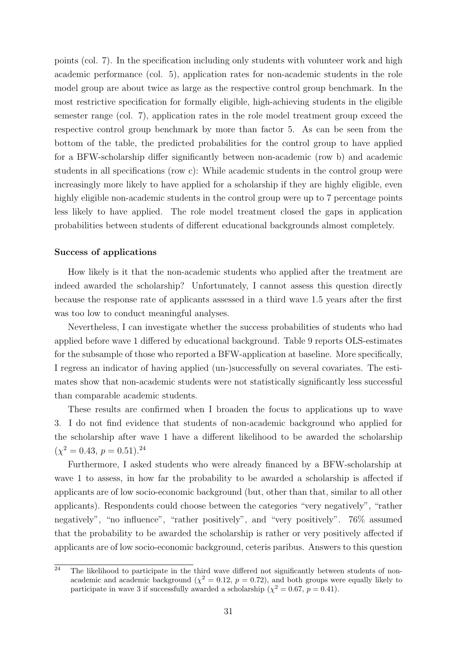points (col. 7). In the specification including only students with volunteer work and high academic performance (col. 5), application rates for non-academic students in the role model group are about twice as large as the respective control group benchmark. In the most restrictive specification for formally eligible, high-achieving students in the eligible semester range (col. 7), application rates in the role model treatment group exceed the respective control group benchmark by more than factor 5. As can be seen from the bottom of the table, the predicted probabilities for the control group to have applied for a BFW-scholarship differ significantly between non-academic (row b) and academic students in all specifications (row c): While academic students in the control group were increasingly more likely to have applied for a scholarship if they are highly eligible, even highly eligible non-academic students in the control group were up to 7 percentage points less likely to have applied. The role model treatment closed the gaps in application probabilities between students of different educational backgrounds almost completely.

#### Success of applications

How likely is it that the non-academic students who applied after the treatment are indeed awarded the scholarship? Unfortunately, I cannot assess this question directly because the response rate of applicants assessed in a third wave 1.5 years after the first was too low to conduct meaningful analyses.

Nevertheless, I can investigate whether the success probabilities of students who had applied before wave 1 differed by educational background. Table 9 reports OLS-estimates for the subsample of those who reported a BFW-application at baseline. More specifically, I regress an indicator of having applied (un-)successfully on several covariates. The estimates show that non-academic students were not statistically significantly less successful than comparable academic students.

These results are confirmed when I broaden the focus to applications up to wave 3. I do not find evidence that students of non-academic background who applied for the scholarship after wave 1 have a different likelihood to be awarded the scholarship  $(\chi^2 = 0.43, p = 0.51).^{24}$ 

Furthermore, I asked students who were already financed by a BFW-scholarship at wave 1 to assess, in how far the probability to be awarded a scholarship is affected if applicants are of low socio-economic background (but, other than that, similar to all other applicants). Respondents could choose between the categories "very negatively", "rather negatively", "no influence", "rather positively", and "very positively". 76% assumed that the probability to be awarded the scholarship is rather or very positively affected if applicants are of low socio-economic background, ceteris paribus. Answers to this question

 $\overline{a^2}$  The likelihood to participate in the third wave differed not significantly between students of nonacademic and academic background ( $\chi^2 = 0.12$ ,  $p = 0.72$ ), and both groups were equally likely to participate in wave 3 if successfully awarded a scholarship ( $\chi^2 = 0.67$ ,  $p = 0.41$ ).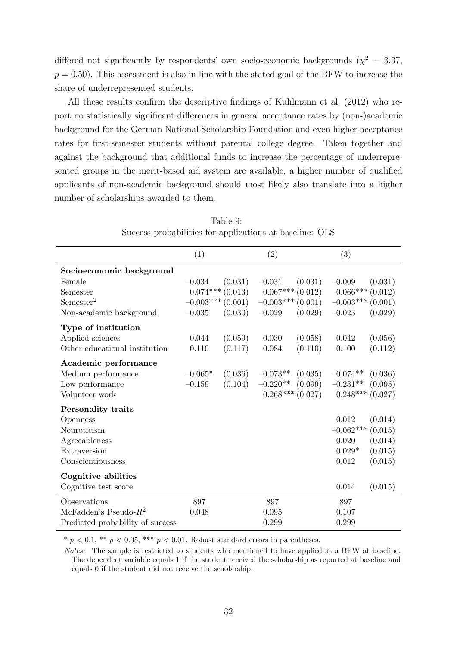differed not significantly by respondents' own socio-economic backgrounds ( $\chi^2 = 3.37$ ,  $p = 0.50$ . This assessment is also in line with the stated goal of the BFW to increase the share of underrepresented students.

All these results confirm the descriptive findings of Kuhlmann et al. (2012) who report no statistically significant differences in general acceptance rates by (non-)academic background for the German National Scholarship Foundation and even higher acceptance rates for first-semester students without parental college degree. Taken together and against the background that additional funds to increase the percentage of underrepresented groups in the merit-based aid system are available, a higher number of qualified applicants of non-academic background should most likely also translate into a higher number of scholarships awarded to them.

|                                  | (1)                 |         | (2)                |         | (3)                 |         |
|----------------------------------|---------------------|---------|--------------------|---------|---------------------|---------|
| Socioeconomic background         |                     |         |                    |         |                     |         |
| Female                           | $-0.034$            | (0.031) | $-0.031$           | (0.031) | $-0.009$            | (0.031) |
| Semester                         | $0.074***(0.013)$   |         | $0.067***(0.012)$  |         | $0.066***(0.012)$   |         |
| Semester <sup>2</sup>            | $-0.003***$ (0.001) |         | $-0.003***(0.001)$ |         | $-0.003***$ (0.001) |         |
| Non-academic background          | $-0.035$            | (0.030) | $-0.029$           | (0.029) | $-0.023$            | (0.029) |
| Type of institution              |                     |         |                    |         |                     |         |
| Applied sciences                 | 0.044               | (0.059) | 0.030              | (0.058) | 0.042               | (0.056) |
| Other educational institution    | 0.110               | (0.117) | 0.084              | (0.110) | 0.100               | (0.112) |
| Academic performance             |                     |         |                    |         |                     |         |
| Medium performance               | $-0.065*$           | (0.036) | $-0.073**$         | (0.035) | $-0.074**$          | (0.036) |
| Low performance                  | $-0.159$            | (0.104) | $-0.220**$         | (0.099) | $-0.231**$          | (0.095) |
| Volunteer work                   |                     |         | $0.268***(0.027)$  |         | $0.248***(0.027)$   |         |
| Personality traits               |                     |         |                    |         |                     |         |
| Openness                         |                     |         |                    |         | 0.012               | (0.014) |
| Neuroticism                      |                     |         |                    |         | $-0.062***$         | (0.015) |
| Agreeableness                    |                     |         |                    |         | 0.020               | (0.014) |
| Extraversion                     |                     |         |                    |         | $0.029*$            | (0.015) |
| Conscientiousness                |                     |         |                    |         | 0.012               | (0.015) |
| Cognitive abilities              |                     |         |                    |         |                     |         |
| Cognitive test score             |                     |         |                    |         | 0.014               | (0.015) |
| Observations                     | 897                 |         | 897                |         | 897                 |         |
| McFadden's Pseudo- $R^2$         | 0.048               |         | 0.095              |         | 0.107               |         |
| Predicted probability of success |                     |         | 0.299              |         | 0.299               |         |

Table 9: Success probabilities for applications at baseline: OLS

\*  $p < 0.1$ , \*\*  $p < 0.05$ , \*\*\*  $p < 0.01$ . Robust standard errors in parentheses.

Notes: The sample is restricted to students who mentioned to have applied at a BFW at baseline. The dependent variable equals 1 if the student received the scholarship as reported at baseline and equals 0 if the student did not receive the scholarship.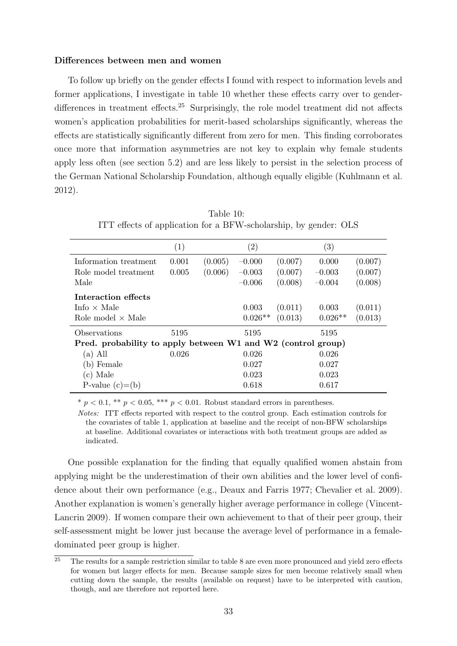#### Differences between men and women

To follow up briefly on the gender effects I found with respect to information levels and former applications, I investigate in table 10 whether these effects carry over to genderdifferences in treatment effects.<sup>25</sup> Surprisingly, the role model treatment did not affects women's application probabilities for merit-based scholarships significantly, whereas the effects are statistically significantly different from zero for men. This finding corroborates once more that information asymmetries are not key to explain why female students apply less often (see section 5.2) and are less likely to persist in the selection process of the German National Scholarship Foundation, although equally eligible (Kuhlmann et al. 2012).

|                                                              | (1)   |         | $\left( 2\right)$ |         | (3)       |         |
|--------------------------------------------------------------|-------|---------|-------------------|---------|-----------|---------|
| Information treatment                                        | 0.001 | (0.005) | $-0.000$          | (0.007) | 0.000     | (0.007) |
| Role model treatment                                         | 0.005 | (0.006) | $-0.003$          | (0.007) | $-0.003$  | (0.007) |
| Male                                                         |       |         | $-0.006$          | (0.008) | $-0.004$  | (0.008) |
| Interaction effects                                          |       |         |                   |         |           |         |
| Info $\times$ Male                                           |       |         | 0.003             | (0.011) | 0.003     | (0.011) |
| Role model $\times$ Male                                     |       |         | $0.026**$         | (0.013) | $0.026**$ | (0.013) |
| Observations                                                 | 5195  |         | 5195              |         | 5195      |         |
| Pred. probability to apply between W1 and W2 (control group) |       |         |                   |         |           |         |
| (a) All                                                      | 0.026 |         | 0.026             |         | 0.026     |         |
| (b) Female                                                   |       |         | 0.027             |         | 0.027     |         |
| (c) Male                                                     |       |         | 0.023             |         | 0.023     |         |
| P-value $(c) = (b)$                                          |       |         | 0.618             |         | 0.617     |         |

Table 10: ITT effects of application for a BFW-scholarship, by gender: OLS

\*  $p < 0.1$ , \*\*  $p < 0.05$ , \*\*\*  $p < 0.01$ . Robust standard errors in parentheses.

Notes: ITT effects reported with respect to the control group. Each estimation controls for the covariates of table 1, application at baseline and the receipt of non-BFW scholarships at baseline. Additional covariates or interactions with both treatment groups are added as indicated.

One possible explanation for the finding that equally qualified women abstain from applying might be the underestimation of their own abilities and the lower level of confidence about their own performance (e.g., Deaux and Farris 1977; Chevalier et al. 2009). Another explanation is women's generally higher average performance in college (Vincent-Lancrin 2009). If women compare their own achievement to that of their peer group, their self-assessment might be lower just because the average level of performance in a femaledominated peer group is higher.

 $\overline{25}$  The results for a sample restriction similar to table 8 are even more pronounced and yield zero effects for women but larger effects for men. Because sample sizes for men become relatively small when cutting down the sample, the results (available on request) have to be interpreted with caution, though, and are therefore not reported here.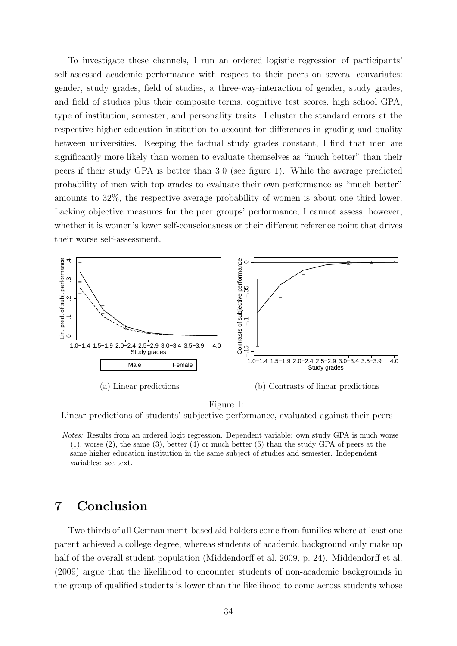To investigate these channels, I run an ordered logistic regression of participants' self-assessed academic performance with respect to their peers on several convariates: gender, study grades, field of studies, a three-way-interaction of gender, study grades, and field of studies plus their composite terms, cognitive test scores, high school GPA, type of institution, semester, and personality traits. I cluster the standard errors at the respective higher education institution to account for differences in grading and quality between universities. Keeping the factual study grades constant, I find that men are significantly more likely than women to evaluate themselves as "much better" than their peers if their study GPA is better than 3.0 (see figure 1). While the average predicted probability of men with top grades to evaluate their own performance as "much better" amounts to 32%, the respective average probability of women is about one third lower. Lacking objective measures for the peer groups' performance, I cannot assess, however, whether it is women's lower self-consciousness or their different reference point that drives their worse self-assessment.



Figure 1:

Linear predictions of students' subjective performance, evaluated against their peers

Notes: Results from an ordered logit regression. Dependent variable: own study GPA is much worse  $(1)$ , worse  $(2)$ , the same  $(3)$ , better  $(4)$  or much better  $(5)$  than the study GPA of peers at the same higher education institution in the same subject of studies and semester. Independent variables: see text.

# 7 Conclusion

Two thirds of all German merit-based aid holders come from families where at least one parent achieved a college degree, whereas students of academic background only make up half of the overall student population (Middendorff et al. 2009, p. 24). Middendorff et al. (2009) argue that the likelihood to encounter students of non-academic backgrounds in the group of qualified students is lower than the likelihood to come across students whose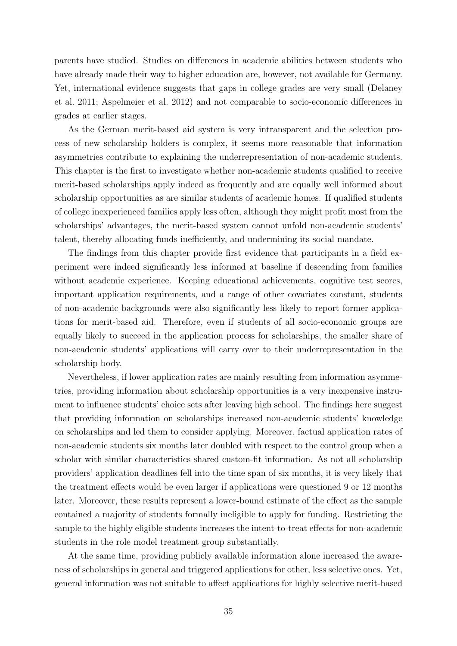parents have studied. Studies on differences in academic abilities between students who have already made their way to higher education are, however, not available for Germany. Yet, international evidence suggests that gaps in college grades are very small (Delaney et al. 2011; Aspelmeier et al. 2012) and not comparable to socio-economic differences in grades at earlier stages.

As the German merit-based aid system is very intransparent and the selection process of new scholarship holders is complex, it seems more reasonable that information asymmetries contribute to explaining the underrepresentation of non-academic students. This chapter is the first to investigate whether non-academic students qualified to receive merit-based scholarships apply indeed as frequently and are equally well informed about scholarship opportunities as are similar students of academic homes. If qualified students of college inexperienced families apply less often, although they might profit most from the scholarships' advantages, the merit-based system cannot unfold non-academic students' talent, thereby allocating funds inefficiently, and undermining its social mandate.

The findings from this chapter provide first evidence that participants in a field experiment were indeed significantly less informed at baseline if descending from families without academic experience. Keeping educational achievements, cognitive test scores, important application requirements, and a range of other covariates constant, students of non-academic backgrounds were also significantly less likely to report former applications for merit-based aid. Therefore, even if students of all socio-economic groups are equally likely to succeed in the application process for scholarships, the smaller share of non-academic students' applications will carry over to their underrepresentation in the scholarship body.

Nevertheless, if lower application rates are mainly resulting from information asymmetries, providing information about scholarship opportunities is a very inexpensive instrument to influence students' choice sets after leaving high school. The findings here suggest that providing information on scholarships increased non-academic students' knowledge on scholarships and led them to consider applying. Moreover, factual application rates of non-academic students six months later doubled with respect to the control group when a scholar with similar characteristics shared custom-fit information. As not all scholarship providers' application deadlines fell into the time span of six months, it is very likely that the treatment effects would be even larger if applications were questioned 9 or 12 months later. Moreover, these results represent a lower-bound estimate of the effect as the sample contained a majority of students formally ineligible to apply for funding. Restricting the sample to the highly eligible students increases the intent-to-treat effects for non-academic students in the role model treatment group substantially.

At the same time, providing publicly available information alone increased the awareness of scholarships in general and triggered applications for other, less selective ones. Yet, general information was not suitable to affect applications for highly selective merit-based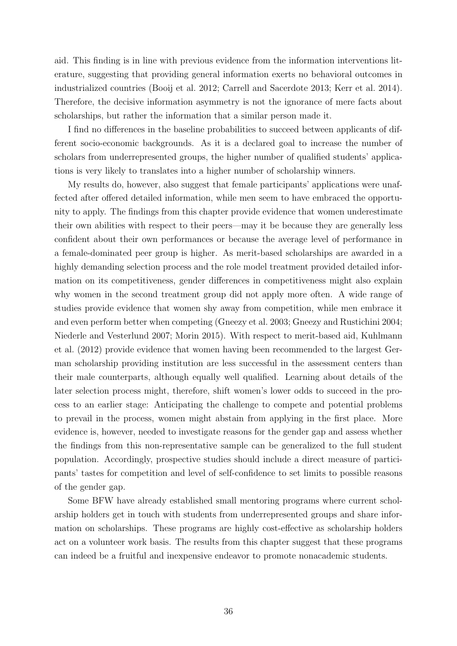aid. This finding is in line with previous evidence from the information interventions literature, suggesting that providing general information exerts no behavioral outcomes in industrialized countries (Booij et al. 2012; Carrell and Sacerdote 2013; Kerr et al. 2014). Therefore, the decisive information asymmetry is not the ignorance of mere facts about scholarships, but rather the information that a similar person made it.

I find no differences in the baseline probabilities to succeed between applicants of different socio-economic backgrounds. As it is a declared goal to increase the number of scholars from underrepresented groups, the higher number of qualified students' applications is very likely to translates into a higher number of scholarship winners.

My results do, however, also suggest that female participants' applications were unaffected after offered detailed information, while men seem to have embraced the opportunity to apply. The findings from this chapter provide evidence that women underestimate their own abilities with respect to their peers—may it be because they are generally less confident about their own performances or because the average level of performance in a female-dominated peer group is higher. As merit-based scholarships are awarded in a highly demanding selection process and the role model treatment provided detailed information on its competitiveness, gender differences in competitiveness might also explain why women in the second treatment group did not apply more often. A wide range of studies provide evidence that women shy away from competition, while men embrace it and even perform better when competing (Gneezy et al. 2003; Gneezy and Rustichini 2004; Niederle and Vesterlund 2007; Morin 2015). With respect to merit-based aid, Kuhlmann et al. (2012) provide evidence that women having been recommended to the largest German scholarship providing institution are less successful in the assessment centers than their male counterparts, although equally well qualified. Learning about details of the later selection process might, therefore, shift women's lower odds to succeed in the process to an earlier stage: Anticipating the challenge to compete and potential problems to prevail in the process, women might abstain from applying in the first place. More evidence is, however, needed to investigate reasons for the gender gap and assess whether the findings from this non-representative sample can be generalized to the full student population. Accordingly, prospective studies should include a direct measure of participants' tastes for competition and level of self-confidence to set limits to possible reasons of the gender gap.

Some BFW have already established small mentoring programs where current scholarship holders get in touch with students from underrepresented groups and share information on scholarships. These programs are highly cost-effective as scholarship holders act on a volunteer work basis. The results from this chapter suggest that these programs can indeed be a fruitful and inexpensive endeavor to promote nonacademic students.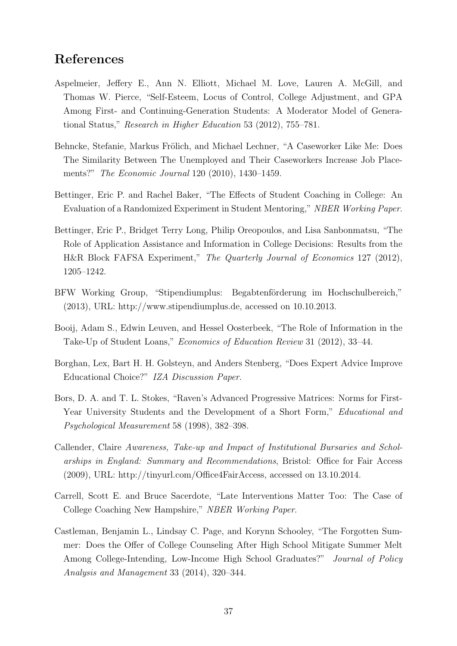# References

- Aspelmeier, Jeffery E., Ann N. Elliott, Michael M. Love, Lauren A. McGill, and Thomas W. Pierce, "Self-Esteem, Locus of Control, College Adjustment, and GPA Among First- and Continuing-Generation Students: A Moderator Model of Generational Status," Research in Higher Education 53 (2012), 755–781.
- Behncke, Stefanie, Markus Frölich, and Michael Lechner, "A Caseworker Like Me: Does The Similarity Between The Unemployed and Their Caseworkers Increase Job Placements?" The Economic Journal 120 (2010), 1430–1459.
- Bettinger, Eric P. and Rachel Baker, "The Effects of Student Coaching in College: An Evaluation of a Randomized Experiment in Student Mentoring," NBER Working Paper.
- Bettinger, Eric P., Bridget Terry Long, Philip Oreopoulos, and Lisa Sanbonmatsu, "The Role of Application Assistance and Information in College Decisions: Results from the H&R Block FAFSA Experiment," The Quarterly Journal of Economics 127 (2012), 1205–1242.
- BFW Working Group, "Stipendiumplus: Begabtenförderung im Hochschulbereich," (2013), URL: http://www.stipendiumplus.de, accessed on 10.10.2013.
- Booij, Adam S., Edwin Leuven, and Hessel Oosterbeek, "The Role of Information in the Take-Up of Student Loans," Economics of Education Review 31 (2012), 33–44.
- Borghan, Lex, Bart H. H. Golsteyn, and Anders Stenberg, "Does Expert Advice Improve Educational Choice?" IZA Discussion Paper.
- Bors, D. A. and T. L. Stokes, "Raven's Advanced Progressive Matrices: Norms for First-Year University Students and the Development of a Short Form," Educational and Psychological Measurement 58 (1998), 382–398.
- Callender, Claire Awareness, Take-up and Impact of Institutional Bursaries and Scholarships in England: Summary and Recommendations, Bristol: Office for Fair Access (2009), URL: http://tinyurl.com/Office4FairAccess, accessed on 13.10.2014.
- Carrell, Scott E. and Bruce Sacerdote, "Late Interventions Matter Too: The Case of College Coaching New Hampshire," NBER Working Paper.
- Castleman, Benjamin L., Lindsay C. Page, and Korynn Schooley, "The Forgotten Summer: Does the Offer of College Counseling After High School Mitigate Summer Melt Among College-Intending, Low-Income High School Graduates?" Journal of Policy Analysis and Management 33 (2014), 320–344.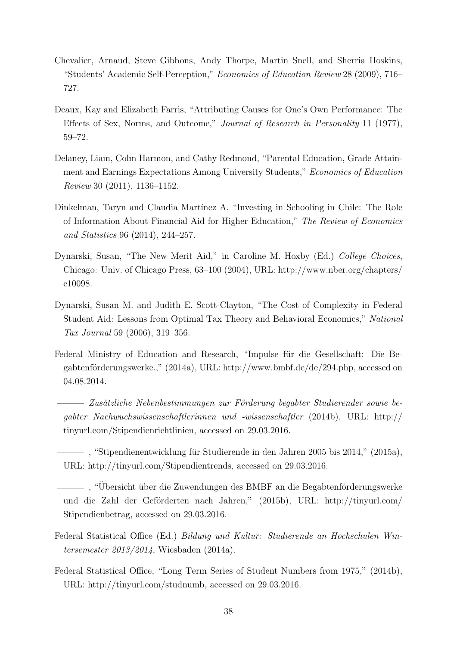- Chevalier, Arnaud, Steve Gibbons, Andy Thorpe, Martin Snell, and Sherria Hoskins, "Students' Academic Self-Perception," Economics of Education Review 28 (2009), 716– 727.
- Deaux, Kay and Elizabeth Farris, "Attributing Causes for One's Own Performance: The Effects of Sex, Norms, and Outcome," Journal of Research in Personality 11 (1977), 59–72.
- Delaney, Liam, Colm Harmon, and Cathy Redmond, "Parental Education, Grade Attainment and Earnings Expectations Among University Students," Economics of Education Review 30 (2011), 1136–1152.
- Dinkelman, Taryn and Claudia Martínez A. "Investing in Schooling in Chile: The Role of Information About Financial Aid for Higher Education," The Review of Economics and Statistics 96 (2014), 244–257.
- Dynarski, Susan, "The New Merit Aid," in Caroline M. Hoxby (Ed.) College Choices, Chicago: Univ. of Chicago Press, 63–100 (2004), URL: http://www.nber.org/chapters/ c10098.
- Dynarski, Susan M. and Judith E. Scott-Clayton, "The Cost of Complexity in Federal Student Aid: Lessons from Optimal Tax Theory and Behavioral Economics," National Tax Journal 59 (2006), 319–356.
- Federal Ministry of Education and Research, "Impulse für die Gesellschaft: Die Begabtenförderungswerke.," (2014a), URL: http://www.bmbf.de/de/294.php, accessed on 04.08.2014.
	- $-$  Zusätzliche Nebenbestimmungen zur Förderung begabter Studierender sowie begabter Nachwuchswissenschaftlerinnen und -wissenschaftler (2014b), URL: http:// tinyurl.com/Stipendienrichtlinien, accessed on 29.03.2016.
	- $-$ , "Stipendienentwicklung für Studierende in den Jahren 2005 bis 2014," (2015a), URL: http://tinyurl.com/Stipendientrends, accessed on 29.03.2016.
	- , "Übersicht über die Zuwendungen des BMBF an die Begabtenförderungswerke und die Zahl der Geförderten nach Jahren," (2015b), URL: http://tinyurl.com/ Stipendienbetrag, accessed on 29.03.2016.
- Federal Statistical Office (Ed.) Bildung und Kultur: Studierende an Hochschulen Wintersemester 2013/2014, Wiesbaden (2014a).
- Federal Statistical Office, "Long Term Series of Student Numbers from 1975," (2014b), URL: http://tinyurl.com/studnumb, accessed on 29.03.2016.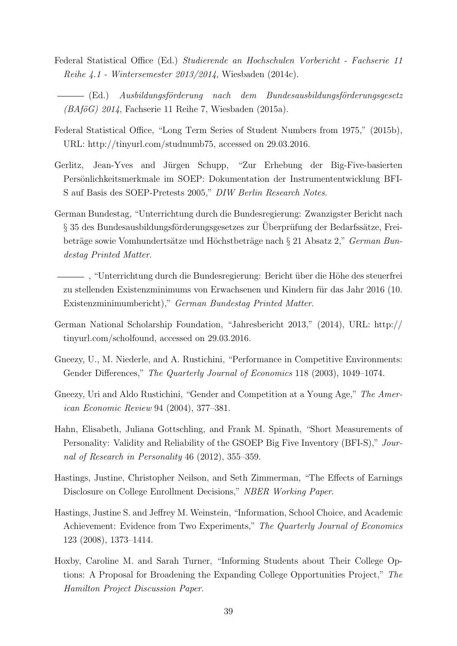- Federal Statistical Office (Ed.) Studierende an Hochschulen Vorbericht Fachserie 11 Reihe 4.1 - Wintersemester 2013/2014, Wiesbaden (2014c).
- (Ed.) Ausbildungsförderung nach dem Bundesausbildungsförderungsgesetz  $(BA\ddot{\rho}\ddot{\sigma})$  2014, Fachserie 11 Reihe 7, Wiesbaden (2015a).
- Federal Statistical Office, "Long Term Series of Student Numbers from 1975," (2015b), URL: http://tinyurl.com/studnumb75, accessed on 29.03.2016.
- Gerlitz, Jean-Yves and Jürgen Schupp, "Zur Erhebung der Big-Five-basierten Persönlichkeitsmerkmale im SOEP: Dokumentation der Instrumententwicklung BFI-S auf Basis des SOEP-Pretests 2005," DIW Berlin Research Notes.
- German Bundestag, "Unterrichtung durch die Bundesregierung: Zwanzigster Bericht nach  $\S$  35 des Bundesausbildungsförderungsgesetzes zur Uberprüfung der Bedarfssätze, Freibeträge sowie Vomhundertsätze und Höchstbeträge nach § 21 Absatz 2," German Bundestag Printed Matter.
	- , "Unterrichtung durch die Bundesregierung: Bericht ¨uber die H¨ohe des steuerfrei zu stellenden Existenzminimums von Erwachsenen und Kindern für das Jahr 2016 (10. Existenzminimumbericht)," German Bundestag Printed Matter.
- German National Scholarship Foundation, "Jahresbericht 2013," (2014), URL: http:// tinyurl.com/scholfound, accessed on 29.03.2016.
- Gneezy, U., M. Niederle, and A. Rustichini, "Performance in Competitive Environments: Gender Differences," The Quarterly Journal of Economics 118 (2003), 1049–1074.
- Gneezy, Uri and Aldo Rustichini, "Gender and Competition at a Young Age," The American Economic Review 94 (2004), 377–381.
- Hahn, Elisabeth, Juliana Gottschling, and Frank M. Spinath, "Short Measurements of Personality: Validity and Reliability of the GSOEP Big Five Inventory (BFI-S)," Journal of Research in Personality 46 (2012), 355–359.
- Hastings, Justine, Christopher Neilson, and Seth Zimmerman, "The Effects of Earnings Disclosure on College Enrollment Decisions," NBER Working Paper.
- Hastings, Justine S. and Jeffrey M. Weinstein, "Information, School Choice, and Academic Achievement: Evidence from Two Experiments," The Quarterly Journal of Economics 123 (2008), 1373–1414.
- Hoxby, Caroline M. and Sarah Turner, "Informing Students about Their College Options: A Proposal for Broadening the Expanding College Opportunities Project," The Hamilton Project Discussion Paper.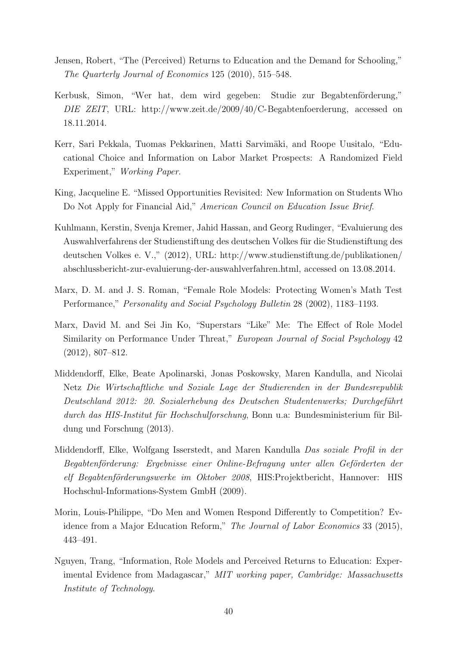- Jensen, Robert, "The (Perceived) Returns to Education and the Demand for Schooling," The Quarterly Journal of Economics 125 (2010), 515–548.
- Kerbusk, Simon, "Wer hat, dem wird gegeben: Studie zur Begabtenförderung," DIE ZEIT, URL: http://www.zeit.de/2009/40/C-Begabtenfoerderung, accessed on 18.11.2014.
- Kerr, Sari Pekkala, Tuomas Pekkarinen, Matti Sarvimäki, and Roope Uusitalo, "Educational Choice and Information on Labor Market Prospects: A Randomized Field Experiment," Working Paper.
- King, Jacqueline E. "Missed Opportunities Revisited: New Information on Students Who Do Not Apply for Financial Aid," American Council on Education Issue Brief.
- Kuhlmann, Kerstin, Svenja Kremer, Jahid Hassan, and Georg Rudinger, "Evaluierung des Auswahlverfahrens der Studienstiftung des deutschen Volkes für die Studienstiftung des deutschen Volkes e. V.," (2012), URL: http://www.studienstiftung.de/publikationen/ abschlussbericht-zur-evaluierung-der-auswahlverfahren.html, accessed on 13.08.2014.
- Marx, D. M. and J. S. Roman, "Female Role Models: Protecting Women's Math Test Performance," Personality and Social Psychology Bulletin 28 (2002), 1183–1193.
- Marx, David M. and Sei Jin Ko, "Superstars "Like" Me: The Effect of Role Model Similarity on Performance Under Threat," European Journal of Social Psychology 42 (2012), 807–812.
- Middendorff, Elke, Beate Apolinarski, Jonas Poskowsky, Maren Kandulla, and Nicolai Netz Die Wirtschaftliche und Soziale Lage der Studierenden in der Bundesrepublik Deutschland 2012: 20. Sozialerhebung des Deutschen Studentenwerks; Durchgeführt durch das HIS-Institut für Hochschulforschung, Bonn u.a: Bundesministerium für Bildung und Forschung (2013).
- Middendorff, Elke, Wolfgang Isserstedt, and Maren Kandulla Das soziale Profil in der Begabtenförderung: Ergebnisse einer Online-Befragung unter allen Geförderten der elf Begabtenförderungswerke im Oktober 2008, HIS:Projektbericht, Hannover: HIS Hochschul-Informations-System GmbH (2009).
- Morin, Louis-Philippe, "Do Men and Women Respond Differently to Competition? Evidence from a Major Education Reform," The Journal of Labor Economics 33 (2015), 443–491.
- Nguyen, Trang, "Information, Role Models and Perceived Returns to Education: Experimental Evidence from Madagascar," MIT working paper, Cambridge: Massachusetts Institute of Technology.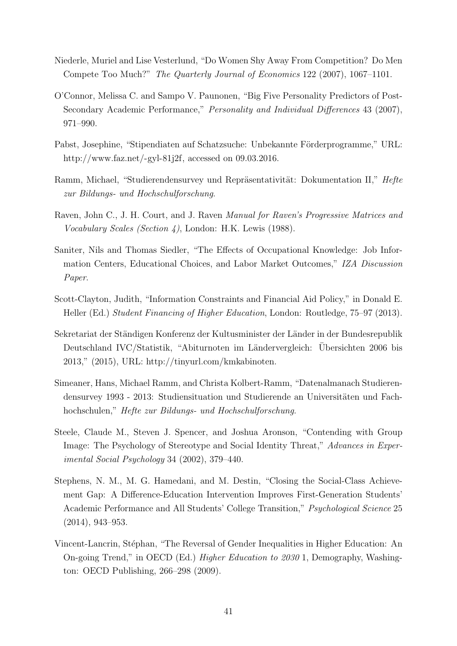- Niederle, Muriel and Lise Vesterlund, "Do Women Shy Away From Competition? Do Men Compete Too Much?" The Quarterly Journal of Economics 122 (2007), 1067–1101.
- O'Connor, Melissa C. and Sampo V. Paunonen, "Big Five Personality Predictors of Post-Secondary Academic Performance," Personality and Individual Differences 43 (2007), 971–990.
- Pabst, Josephine, "Stipendiaten auf Schatzsuche: Unbekannte Förderprogramme," URL: http://www.faz.net/-gyl-81j2f, accessed on 09.03.2016.
- Ramm, Michael, "Studierendensurvey und Repräsentativität: Dokumentation II," Hefte zur Bildungs- und Hochschulforschung.
- Raven, John C., J. H. Court, and J. Raven Manual for Raven's Progressive Matrices and Vocabulary Scales (Section 4), London: H.K. Lewis (1988).
- Saniter, Nils and Thomas Siedler, "The Effects of Occupational Knowledge: Job Information Centers, Educational Choices, and Labor Market Outcomes," IZA Discussion Paper.
- Scott-Clayton, Judith, "Information Constraints and Financial Aid Policy," in Donald E. Heller (Ed.) Student Financing of Higher Education, London: Routledge, 75–97 (2013).
- Sekretariat der Ständigen Konferenz der Kultusminister der Länder in der Bundesrepublik Deutschland IVC/Statistik, "Abiturnoten im Ländervergleich: Übersichten 2006 bis 2013," (2015), URL: http://tinyurl.com/kmkabinoten.
- Simeaner, Hans, Michael Ramm, and Christa Kolbert-Ramm, "Datenalmanach Studierendensurvey 1993 - 2013: Studiensituation und Studierende an Universitäten und Fachhochschulen," Hefte zur Bildungs- und Hochschulforschung.
- Steele, Claude M., Steven J. Spencer, and Joshua Aronson, "Contending with Group Image: The Psychology of Stereotype and Social Identity Threat," Advances in Experimental Social Psychology 34 (2002), 379–440.
- Stephens, N. M., M. G. Hamedani, and M. Destin, "Closing the Social-Class Achievement Gap: A Difference-Education Intervention Improves First-Generation Students' Academic Performance and All Students' College Transition," Psychological Science 25 (2014), 943–953.
- Vincent-Lancrin, Stéphan, "The Reversal of Gender Inequalities in Higher Education: An On-going Trend," in OECD (Ed.) Higher Education to 2030 1, Demography, Washington: OECD Publishing, 266–298 (2009).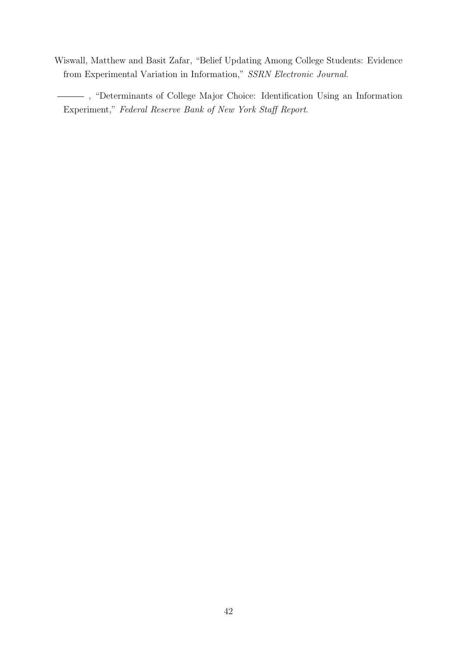Wiswall, Matthew and Basit Zafar, "Belief Updating Among College Students: Evidence from Experimental Variation in Information," SSRN Electronic Journal.

, "Determinants of College Major Choice: Identification Using an Information Experiment," Federal Reserve Bank of New York Staff Report.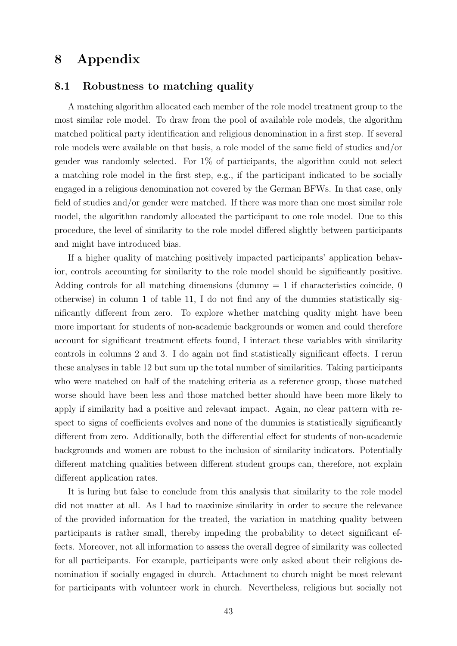# 8 Appendix

## 8.1 Robustness to matching quality

A matching algorithm allocated each member of the role model treatment group to the most similar role model. To draw from the pool of available role models, the algorithm matched political party identification and religious denomination in a first step. If several role models were available on that basis, a role model of the same field of studies and/or gender was randomly selected. For 1% of participants, the algorithm could not select a matching role model in the first step, e.g., if the participant indicated to be socially engaged in a religious denomination not covered by the German BFWs. In that case, only field of studies and/or gender were matched. If there was more than one most similar role model, the algorithm randomly allocated the participant to one role model. Due to this procedure, the level of similarity to the role model differed slightly between participants and might have introduced bias.

If a higher quality of matching positively impacted participants' application behavior, controls accounting for similarity to the role model should be significantly positive. Adding controls for all matching dimensions (dummy  $= 1$  if characteristics coincide, 0 otherwise) in column 1 of table 11, I do not find any of the dummies statistically significantly different from zero. To explore whether matching quality might have been more important for students of non-academic backgrounds or women and could therefore account for significant treatment effects found, I interact these variables with similarity controls in columns 2 and 3. I do again not find statistically significant effects. I rerun these analyses in table 12 but sum up the total number of similarities. Taking participants who were matched on half of the matching criteria as a reference group, those matched worse should have been less and those matched better should have been more likely to apply if similarity had a positive and relevant impact. Again, no clear pattern with respect to signs of coefficients evolves and none of the dummies is statistically significantly different from zero. Additionally, both the differential effect for students of non-academic backgrounds and women are robust to the inclusion of similarity indicators. Potentially different matching qualities between different student groups can, therefore, not explain different application rates.

It is luring but false to conclude from this analysis that similarity to the role model did not matter at all. As I had to maximize similarity in order to secure the relevance of the provided information for the treated, the variation in matching quality between participants is rather small, thereby impeding the probability to detect significant effects. Moreover, not all information to assess the overall degree of similarity was collected for all participants. For example, participants were only asked about their religious denomination if socially engaged in church. Attachment to church might be most relevant for participants with volunteer work in church. Nevertheless, religious but socially not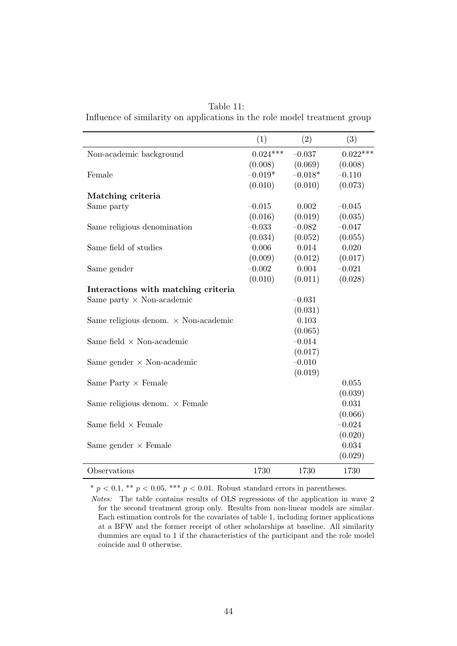| Table 11:                                                                 |  |
|---------------------------------------------------------------------------|--|
| Influence of similarity on applications in the role model treatment group |  |

|                                             | (1)        | (2)       | (3)        |
|---------------------------------------------|------------|-----------|------------|
| Non-academic background                     | $0.024***$ | $-0.037$  | $0.022***$ |
|                                             | (0.008)    | (0.069)   | (0.008)    |
| Female                                      | $-0.019*$  | $-0.018*$ | $-0.110$   |
|                                             | (0.010)    | (0.010)   | (0.073)    |
| Matching criteria                           |            |           |            |
| Same party                                  | $-0.015$   | 0.002     | $-0.045$   |
|                                             | (0.016)    | (0.019)   | (0.035)    |
| Same religious denomination                 | $-0.033$   | $-0.082$  | $-0.047$   |
|                                             | (0.034)    | (0.052)   | (0.055)    |
| Same field of studies                       | 0.006      | 0.014     | 0.020      |
|                                             | (0.009)    | (0.012)   | (0.017)    |
| Same gender                                 | $-0.002$   | 0.004     | $-0.021$   |
|                                             | (0.010)    | (0.011)   | (0.028)    |
| Interactions with matching criteria         |            |           |            |
| Same party $\times$ Non-academic            |            | $-0.031$  |            |
|                                             |            | (0.031)   |            |
| Same religious denom. $\times$ Non-academic |            | 0.103     |            |
|                                             |            | (0.065)   |            |
| Same field $\times$ Non-academic            |            | $-0.014$  |            |
|                                             |            | (0.017)   |            |
| Same gender $\times$ Non-academic           |            | $-0.010$  |            |
|                                             |            | (0.019)   |            |
| Same Party $\times$ Female                  |            |           | 0.055      |
|                                             |            |           | (0.039)    |
| Same religious denom. $\times$ Female       |            |           | 0.031      |
|                                             |            |           | (0.066)    |
| Same field $\times$ Female                  |            |           | $-0.024$   |
|                                             |            |           | (0.020)    |
| Same gender $\times$ Female                 |            |           | 0.034      |
|                                             |            |           | (0.029)    |
| Observations                                | 1730       | 1730      | 1730       |

\*  $p < 0.1$ , \*\*  $p < 0.05$ , \*\*\*  $p < 0.01$ . Robust standard errors in parentheses.

Notes: The table contains results of OLS regressions of the application in wave 2 for the second treatment group only. Results from non-linear models are similar. Each estimation controls for the covariates of table 1, including former applications at a BFW and the former receipt of other scholarships at baseline. All similarity dummies are equal to 1 if the characteristics of the participant and the role model coincide and 0 otherwise.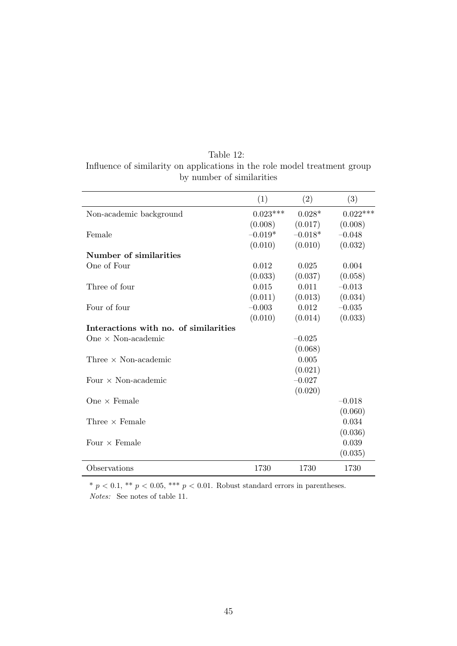| Table 12:                                                                 |
|---------------------------------------------------------------------------|
| Influence of similarity on applications in the role model treatment group |
| by number of similarities                                                 |

|                                       | (1)        | (2)       | (3)        |
|---------------------------------------|------------|-----------|------------|
| Non-academic background               | $0.023***$ | $0.028*$  | $0.022***$ |
|                                       | (0.008)    | (0.017)   | (0.008)    |
| Female                                | $-0.019*$  | $-0.018*$ | $-0.048$   |
|                                       | (0.010)    | (0.010)   | (0.032)    |
| Number of similarities                |            |           |            |
| One of Four                           | 0.012      | 0.025     | 0.004      |
|                                       | (0.033)    | (0.037)   | (0.058)    |
| Three of four                         | 0.015      | 0.011     | $-0.013$   |
|                                       | (0.011)    | (0.013)   | (0.034)    |
| Four of four                          | $-0.003$   | 0.012     | $-0.035$   |
|                                       | (0.010)    | (0.014)   | (0.033)    |
| Interactions with no. of similarities |            |           |            |
| One $\times$ Non-academic             |            | $-0.025$  |            |
|                                       |            | (0.068)   |            |
| Three $\times$ Non-academic           |            | 0.005     |            |
|                                       |            | (0.021)   |            |
| Four $\times$ Non-academic            |            | $-0.027$  |            |
|                                       |            | (0.020)   |            |
| One $\times$ Female                   |            |           | $-0.018$   |
|                                       |            |           | (0.060)    |
| Three $\times$ Female                 |            |           | 0.034      |
|                                       |            |           | (0.036)    |
| Four $\times$ Female                  |            |           | 0.039      |
|                                       |            |           | (0.035)    |
| Observations                          | 1730       | 1730      | 1730       |

 $* p < 0.1, ** p < 0.05, ** p < 0.01$ . Robust standard errors in parentheses. Notes: See notes of table 11.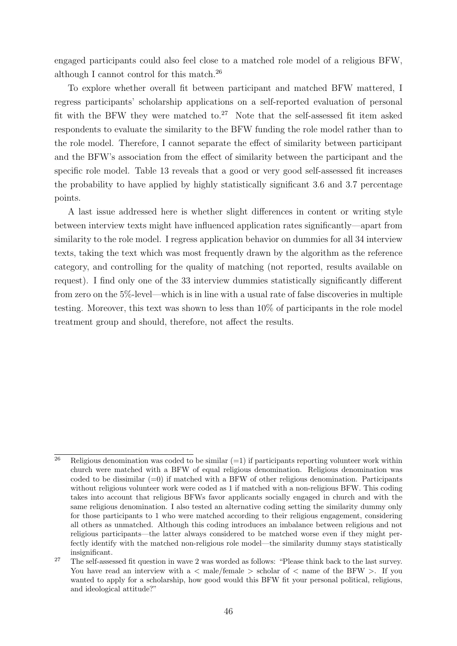engaged participants could also feel close to a matched role model of a religious BFW, although I cannot control for this match.<sup>26</sup>

To explore whether overall fit between participant and matched BFW mattered, I regress participants' scholarship applications on a self-reported evaluation of personal fit with the BFW they were matched to.<sup>27</sup> Note that the self-assessed fit item asked respondents to evaluate the similarity to the BFW funding the role model rather than to the role model. Therefore, I cannot separate the effect of similarity between participant and the BFW's association from the effect of similarity between the participant and the specific role model. Table 13 reveals that a good or very good self-assessed fit increases the probability to have applied by highly statistically significant 3.6 and 3.7 percentage points.

A last issue addressed here is whether slight differences in content or writing style between interview texts might have influenced application rates significantly—apart from similarity to the role model. I regress application behavior on dummies for all 34 interview texts, taking the text which was most frequently drawn by the algorithm as the reference category, and controlling for the quality of matching (not reported, results available on request). I find only one of the 33 interview dummies statistically significantly different from zero on the 5%-level—which is in line with a usual rate of false discoveries in multiple testing. Moreover, this text was shown to less than 10% of participants in the role model treatment group and should, therefore, not affect the results.

 $\overline{a^6}$  Religious denomination was coded to be similar (=1) if participants reporting volunteer work within church were matched with a BFW of equal religious denomination. Religious denomination was coded to be dissimilar  $(=0)$  if matched with a BFW of other religious denomination. Participants without religious volunteer work were coded as 1 if matched with a non-religious BFW. This coding takes into account that religious BFWs favor applicants socially engaged in church and with the same religious denomination. I also tested an alternative coding setting the similarity dummy only for those participants to 1 who were matched according to their religious engagement, considering all others as unmatched. Although this coding introduces an imbalance between religious and not religious participants—the latter always considered to be matched worse even if they might perfectly identify with the matched non-religious role model—the similarity dummy stays statistically insignificant.

<sup>&</sup>lt;sup>27</sup> The self-assessed fit question in wave 2 was worded as follows: "Please think back to the last survey. You have read an interview with a  $\lt$  male/female  $\gt$  scholar of  $\lt$  name of the BFW  $\gt$ . If you wanted to apply for a scholarship, how good would this BFW fit your personal political, religious, and ideological attitude?"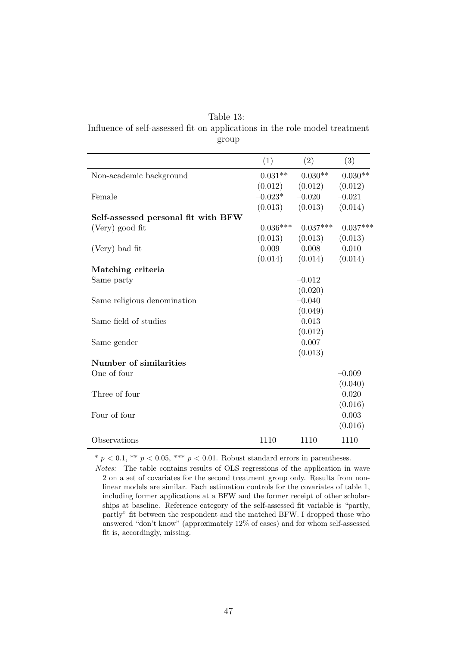| Table 13:                                                                  |
|----------------------------------------------------------------------------|
| Influence of self-assessed fit on applications in the role model treatment |
| group                                                                      |

|                                     | (1)        | (2)        | (3)        |
|-------------------------------------|------------|------------|------------|
| Non-academic background             | $0.031**$  | $0.030**$  | $0.030**$  |
|                                     | (0.012)    | (0.012)    | (0.012)    |
| Female                              | $-0.023^*$ | $-0.020$   | $-0.021$   |
|                                     | (0.013)    | (0.013)    | (0.014)    |
| Self-assessed personal fit with BFW |            |            |            |
| (Very) good fit                     | $0.036***$ | $0.037***$ | $0.037***$ |
|                                     | (0.013)    | (0.013)    | (0.013)    |
| (Very) bad fit                      | 0.009      | 0.008      | 0.010      |
|                                     | (0.014)    | (0.014)    | (0.014)    |
| Matching criteria                   |            |            |            |
| Same party                          |            | $-0.012$   |            |
|                                     |            | (0.020)    |            |
| Same religious denomination         |            | $-0.040$   |            |
|                                     |            | (0.049)    |            |
| Same field of studies               |            | 0.013      |            |
|                                     |            | (0.012)    |            |
| Same gender                         |            | 0.007      |            |
|                                     |            | (0.013)    |            |
| Number of similarities              |            |            |            |
| One of four                         |            |            | $-0.009$   |
|                                     |            |            | (0.040)    |
| Three of four                       |            |            | 0.020      |
|                                     |            |            | (0.016)    |
| Four of four                        |            |            | 0.003      |
|                                     |            |            | (0.016)    |
| Observations                        | 1110       | 1110       | 1110       |

\*  $p < 0.1$ , \*\*  $p < 0.05$ , \*\*\*  $p < 0.01$ . Robust standard errors in parentheses.

Notes: The table contains results of OLS regressions of the application in wave 2 on a set of covariates for the second treatment group only. Results from nonlinear models are similar. Each estimation controls for the covariates of table 1, including former applications at a BFW and the former receipt of other scholarships at baseline. Reference category of the self-assessed fit variable is "partly, partly" fit between the respondent and the matched BFW. I dropped those who answered "don't know" (approximately 12% of cases) and for whom self-assessed fit is, accordingly, missing.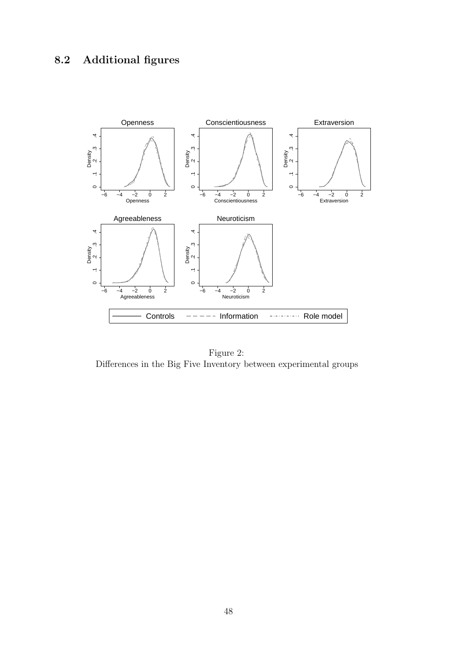

Figure 2: Differences in the Big Five Inventory between experimental groups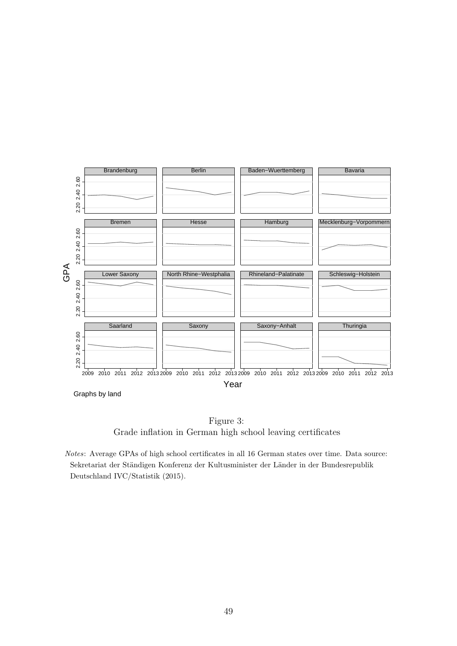

Graphs by land



Notes: Average GPAs of high school certificates in all 16 German states over time. Data source: Sekretariat der Ständigen Konferenz der Kultusminister der Länder in der Bundesrepublik Deutschland IVC/Statistik (2015).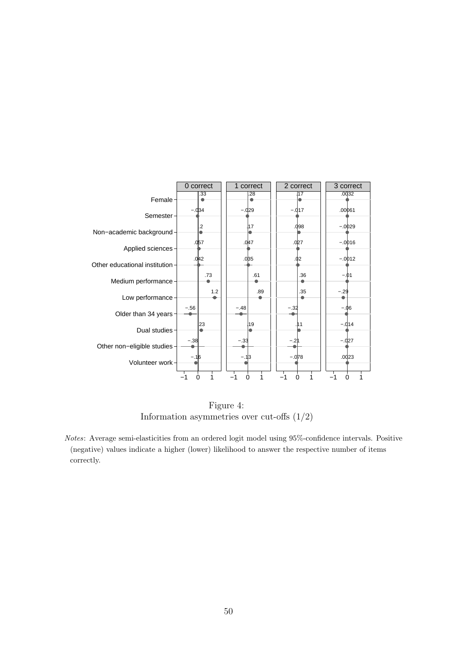

Figure 4: Information asymmetries over cut-offs (1/2)

Notes: Average semi-elasticities from an ordered logit model using 95%-confidence intervals. Positive (negative) values indicate a higher (lower) likelihood to answer the respective number of items correctly.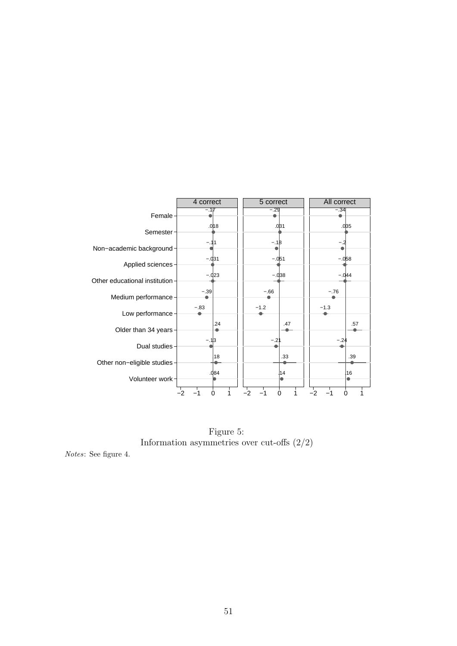

Figure 5: Information asymmetries over cut-offs  $\left(2/2\right)$ 

Notes: See figure 4.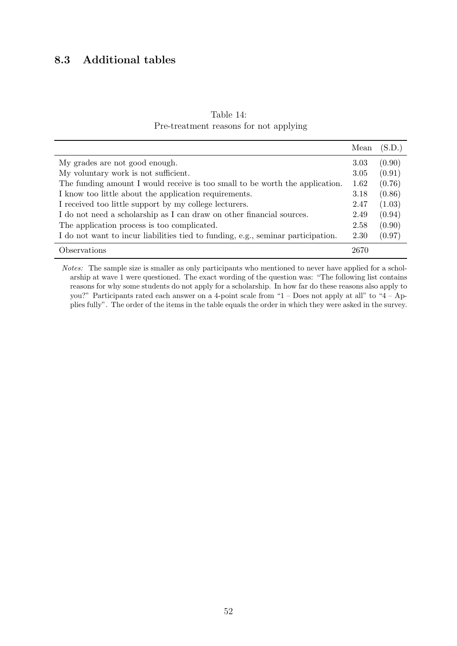# 8.3 Additional tables

|                                        | Table 14: |  |  |
|----------------------------------------|-----------|--|--|
| Pre-treatment reasons for not applying |           |  |  |

|                                                                                  | Mean | (S.D.) |
|----------------------------------------------------------------------------------|------|--------|
| My grades are not good enough.                                                   | 3.03 | (0.90) |
| My voluntary work is not sufficient.                                             | 3.05 | (0.91) |
| The funding amount I would receive is too small to be worth the application.     | 1.62 | (0.76) |
| I know too little about the application requirements.                            | 3.18 | (0.86) |
| I received too little support by my college lecturers.                           | 2.47 | (1.03) |
| I do not need a scholarship as I can draw on other financial sources.            | 2.49 | (0.94) |
| The application process is too complicated.                                      | 2.58 | (0.90) |
| I do not want to incur liabilities tied to funding, e.g., seminar participation. | 2.30 | (0.97) |
| Observations                                                                     | 2670 |        |

Notes: The sample size is smaller as only participants who mentioned to never have applied for a scholarship at wave 1 were questioned. The exact wording of the question was: "The following list contains reasons for why some students do not apply for a scholarship. In how far do these reasons also apply to you?" Participants rated each answer on a 4-point scale from "1 – Does not apply at all" to "4 – Applies fully". The order of the items in the table equals the order in which they were asked in the survey.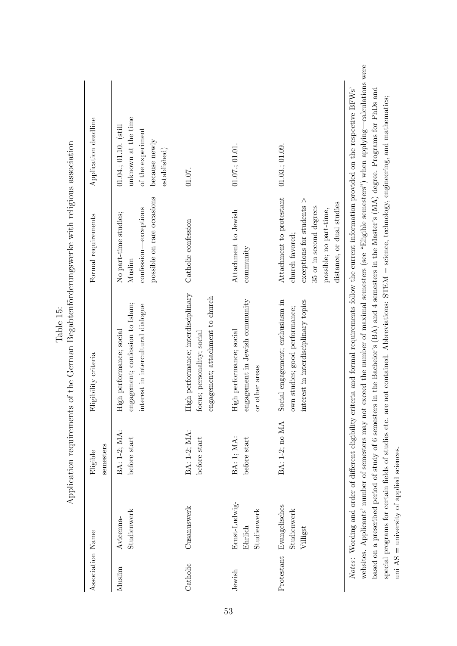| Association Name |                                          | semesters<br>Eligible        | Eligibility criteria                                                                                       | Formal requirements                                                                                                                                                    | Application deadline                                                                                     |
|------------------|------------------------------------------|------------------------------|------------------------------------------------------------------------------------------------------------|------------------------------------------------------------------------------------------------------------------------------------------------------------------------|----------------------------------------------------------------------------------------------------------|
| Muslim           | Studienwerk<br>Avicenna-                 | BA: 1-2; MA:<br>before start | engagement; confession to Islam;<br>interest in intercultural dialogue<br>High performance; social         | possible on rare occasions<br>confession—exceptions<br>No part-time studies;<br>Muslim                                                                                 | unknown at the time<br>$01.04$ .; $01.10$ . (still<br>of the experiment<br>because newly<br>established) |
| Catholic         | Cusanuswerk                              | BA: 1-2; MA:<br>before start | High performance; interdisciplinary<br>engagement; attachment to church<br>focus; personality; social      | Catholic confession                                                                                                                                                    | 01.07.                                                                                                   |
| Jewish           | Ernst-Ludwig-<br>Studienwerk<br>Ehrlich  | BA: 1; MA:<br>before start   | engagement in Jewish community<br>High performance; social<br>or other areas                               | Attachment to Jewish<br>community                                                                                                                                      | 01.07:01.01.                                                                                             |
| Protestant       | Evangelisches<br>Studienwerk<br>Villigst | BA: 1-2; no MA               | interest in interdisciplinary topics<br>Social engagement; enthusiasm in<br>own studies; good performance; | Attachment to protestant<br>$\alpha$ exceptions for students $>$<br>distance, or dual studies<br>35 or in second degrees<br>possible; no part-time,<br>church favored; | $01.03$ ; $01.09$ .                                                                                      |

special programs for certain fields of studies etc. are not contained. Abbreviations: STEM = science, technology, engineering, and mathematics;

special programs for certain fields of studies etc. are not contained. Abbreviations:  $STEM =$  science, technology, engineering, and mathematics;

uni AS = university of applied sciences.

uni $AS =$  university of applied sciences.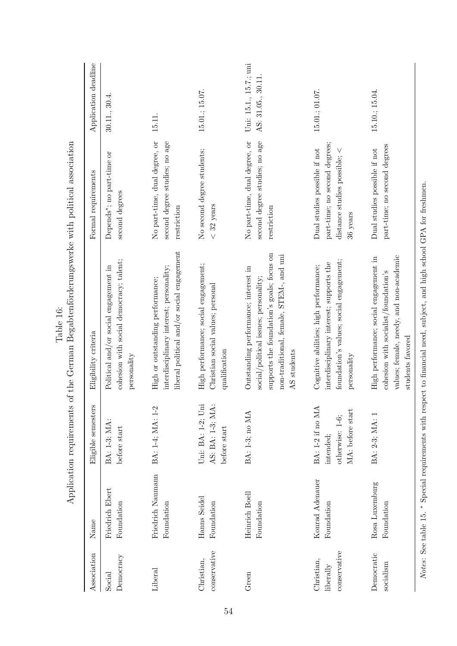|                                         |                                 | Application requirements                                             | of the German Begabtenförderungswerke with political association                                                                                                                     |                                                                                                               |                                             |
|-----------------------------------------|---------------------------------|----------------------------------------------------------------------|--------------------------------------------------------------------------------------------------------------------------------------------------------------------------------------|---------------------------------------------------------------------------------------------------------------|---------------------------------------------|
| Association                             | Name                            | Eligible semesters                                                   | Eligibility criteria                                                                                                                                                                 | Formal requirements                                                                                           | Application deadline                        |
| Democracy<br>Social                     | Friedrich Ebert<br>Foundation   | BA: 1-3; MA:<br>before start                                         | cohesion with social democracy; talent;<br>Political and/or social engagement in<br>personality                                                                                      | Depends <sup>*</sup> ; no part-time or<br>second degrees                                                      | 30.11., 30.4                                |
| Liberal                                 | Friedrich Naumann<br>Foundation | BA: 1-4; MA: 1-2                                                     | liberal political and/or social engagement<br>interdisciplinary interest; personality;<br>High or outstanding performance;                                                           | No part-time, dual degree, or<br>second degree studies; no age<br>restriction                                 | 15.11.                                      |
| conservative<br>Christian,              | Hanns Seidel<br>Foundation      | Uni: BA: 1-2; Uni<br>AS: BA: 1-3; MA:<br>before start                | High performance; social engagement;<br>Christian social values; personal<br>qualification                                                                                           | No second degree students;<br>$< 32$ years                                                                    | 15.01.; 15.07.                              |
| Green                                   | Heinrich Boell<br>Foundation    | BA: 1-3; no MA                                                       | supports the foundation's goals; focus on<br>non-traditional, female, STEM-, and uni<br>Outstanding performance; interest in<br>social/political issues; personality;<br>AS students | No part-time, dual degree, or<br>second degree studies; no age<br>restriction                                 | Uni: 15.1., 15.7.; uni<br>AS: 31.05., 30.11 |
| conservative<br>Christian,<br>liberally | Konrad Adenauer<br>Foundation   | BA: 1-2 if no MA<br>MA: before start<br>otherwise: 1-6;<br>intended; | foundation's values; social engagement;<br>interdisciplinary interest; supports the<br>Cognitive abilities; high performance;<br>personality                                         | part-time; no second degrees;<br>distance studies possible; $\lt$<br>Dual studies possible if not<br>36 years | 15.01.; 01.07.                              |
| Democratic<br>socialism                 | Rosa Luxemburg<br>Foundation    | BA: 2-3; MA: 1                                                       | values; female, needy, and non-academic<br>High performance; social engagement in<br>cohesion with socialist/foundation's<br>students favored                                        | part-time; no second degrees<br>Dual studies possible if not                                                  | 15.10.; 15.04.                              |
|                                         | Notes: See table 15.            |                                                                      | * Special requirements with respect to financial need, subject, and high school GPA for freshmen.                                                                                    |                                                                                                               |                                             |

54